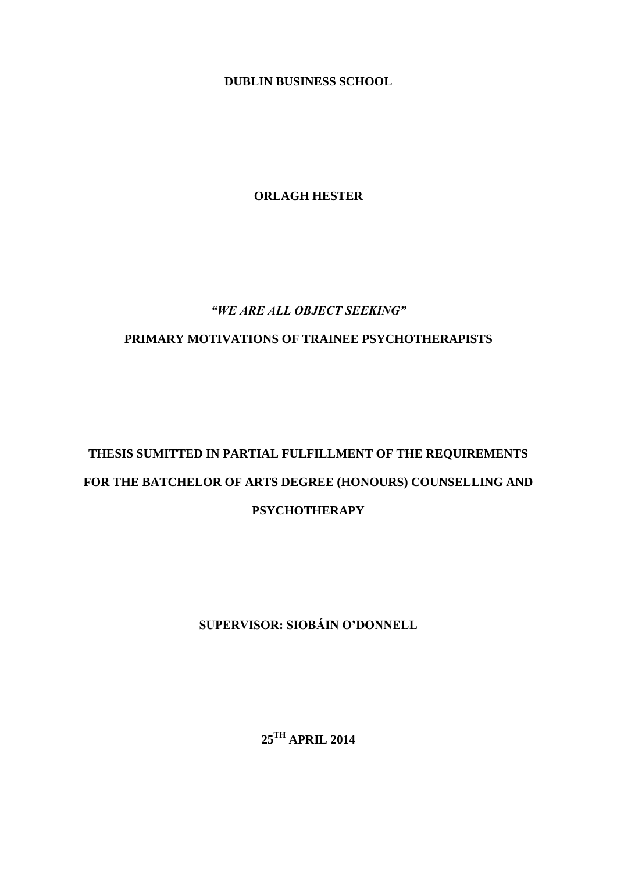**DUBLIN BUSINESS SCHOOL**

**ORLAGH HESTER**

# *"WE ARE ALL OBJECT SEEKING"*

# **PRIMARY MOTIVATIONS OF TRAINEE PSYCHOTHERAPISTS**

# **THESIS SUMITTED IN PARTIAL FULFILLMENT OF THE REQUIREMENTS FOR THE BATCHELOR OF ARTS DEGREE (HONOURS) COUNSELLING AND PSYCHOTHERAPY**

**SUPERVISOR: SIOBÁIN O'DONNELL**

**25TH APRIL 2014**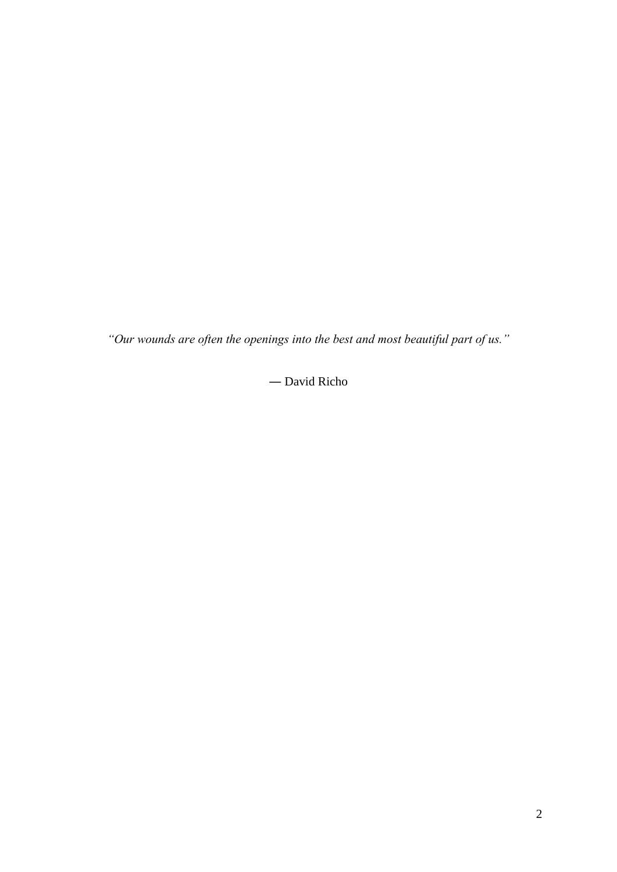*"Our wounds are often the openings into the best and most beautiful part of us."*

― [David Richo](http://www.goodreads.com/author/show/186080.David_Richo)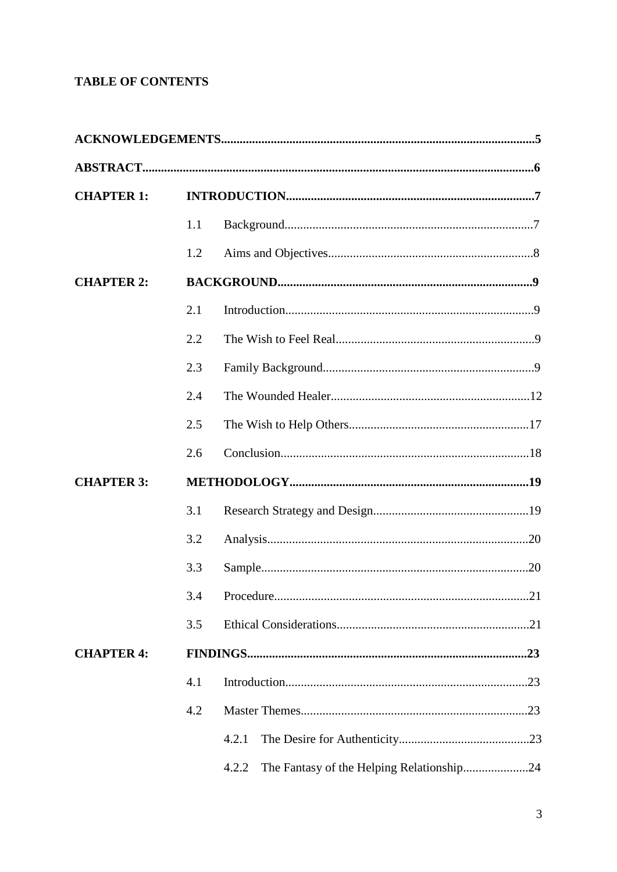# **TABLE OF CONTENTS**

| <b>CHAPTER 1:</b> |     |                                                    |  |  |  |
|-------------------|-----|----------------------------------------------------|--|--|--|
|                   | 1.1 |                                                    |  |  |  |
|                   | 1.2 |                                                    |  |  |  |
| <b>CHAPTER 2:</b> |     |                                                    |  |  |  |
|                   | 2.1 |                                                    |  |  |  |
|                   | 2.2 |                                                    |  |  |  |
|                   | 2.3 |                                                    |  |  |  |
|                   | 2.4 |                                                    |  |  |  |
|                   | 2.5 |                                                    |  |  |  |
|                   | 2.6 |                                                    |  |  |  |
| <b>CHAPTER 3:</b> |     |                                                    |  |  |  |
|                   | 3.1 |                                                    |  |  |  |
|                   | 3.2 |                                                    |  |  |  |
|                   | 3.3 |                                                    |  |  |  |
|                   |     |                                                    |  |  |  |
|                   | 3.5 |                                                    |  |  |  |
| <b>CHAPTER 4:</b> |     |                                                    |  |  |  |
|                   | 4.1 |                                                    |  |  |  |
|                   | 4.2 |                                                    |  |  |  |
|                   |     | 4.2.1                                              |  |  |  |
|                   |     | The Fantasy of the Helping Relationship24<br>4.2.2 |  |  |  |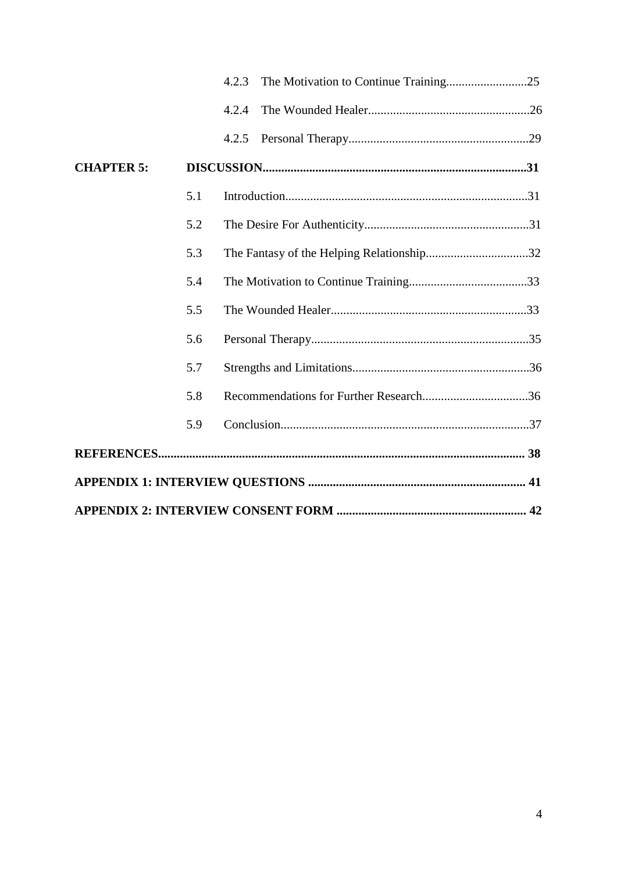|                   |     | 4.2.3 |  |
|-------------------|-----|-------|--|
|                   |     | 4.2.4 |  |
|                   |     | 4.2.5 |  |
| <b>CHAPTER 5:</b> |     |       |  |
|                   | 5.1 |       |  |
|                   | 5.2 |       |  |
|                   | 5.3 |       |  |
|                   | 5.4 |       |  |
|                   | 5.5 |       |  |
|                   | 5.6 |       |  |
|                   | 5.7 |       |  |
|                   | 5.8 |       |  |
|                   | 5.9 |       |  |
|                   |     |       |  |
|                   |     |       |  |
|                   |     |       |  |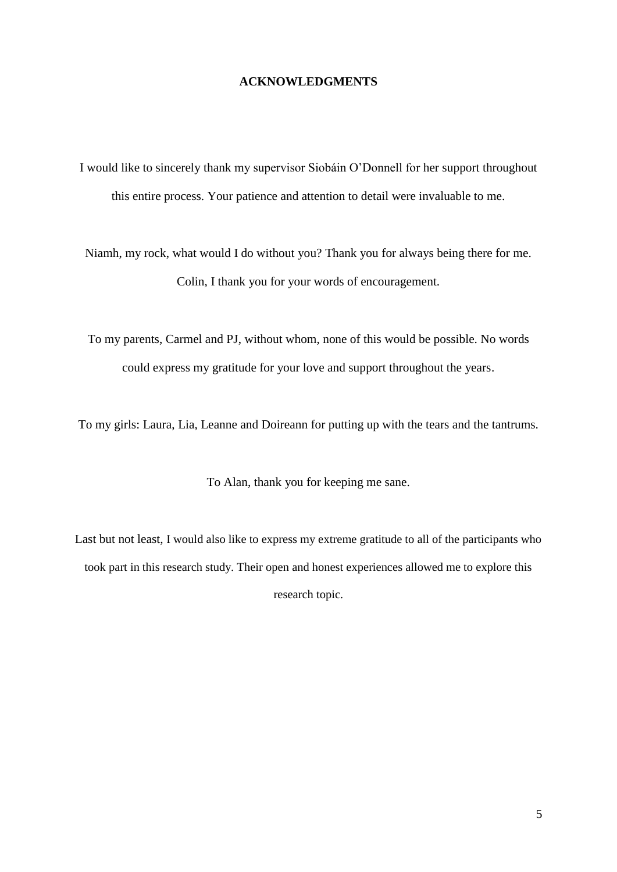# **ACKNOWLEDGMENTS**

I would like to sincerely thank my supervisor Siobáin O'Donnell for her support throughout this entire process. Your patience and attention to detail were invaluable to me.

Niamh, my rock, what would I do without you? Thank you for always being there for me. Colin, I thank you for your words of encouragement.

To my parents, Carmel and PJ, without whom, none of this would be possible. No words could express my gratitude for your love and support throughout the years.

To my girls: Laura, Lia, Leanne and Doireann for putting up with the tears and the tantrums.

To Alan, thank you for keeping me sane.

Last but not least, I would also like to express my extreme gratitude to all of the participants who took part in this research study. Their open and honest experiences allowed me to explore this research topic.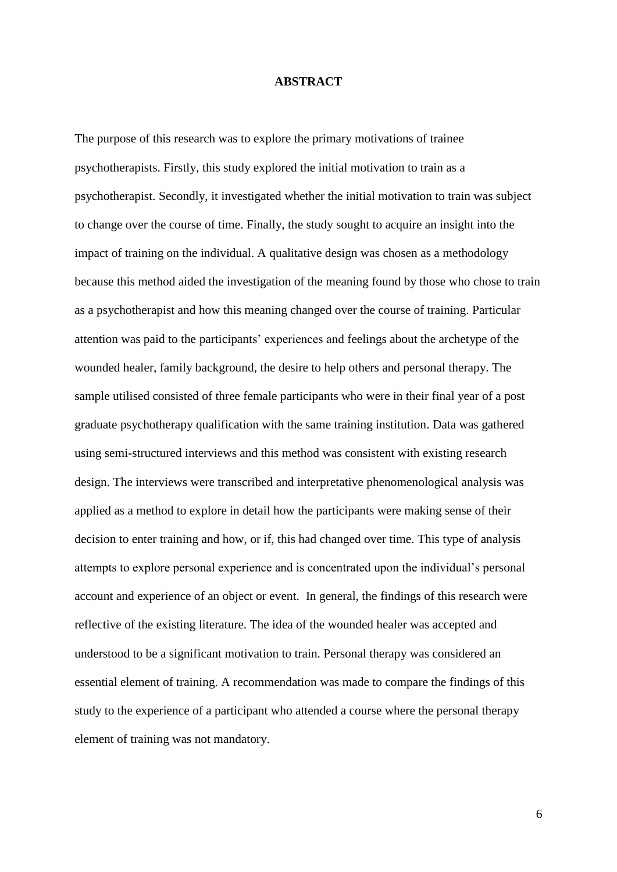#### **ABSTRACT**

The purpose of this research was to explore the primary motivations of trainee psychotherapists. Firstly, this study explored the initial motivation to train as a psychotherapist. Secondly, it investigated whether the initial motivation to train was subject to change over the course of time. Finally, the study sought to acquire an insight into the impact of training on the individual. A qualitative design was chosen as a methodology because this method aided the investigation of the meaning found by those who chose to train as a psychotherapist and how this meaning changed over the course of training. Particular attention was paid to the participants' experiences and feelings about the archetype of the wounded healer, family background, the desire to help others and personal therapy. The sample utilised consisted of three female participants who were in their final year of a post graduate psychotherapy qualification with the same training institution. Data was gathered using semi-structured interviews and this method was consistent with existing research design. The interviews were transcribed and interpretative phenomenological analysis was applied as a method to explore in detail how the participants were making sense of their decision to enter training and how, or if, this had changed over time. This type of analysis attempts to explore personal experience and is concentrated upon the individual's personal account and experience of an object or event. In general, the findings of this research were reflective of the existing literature. The idea of the wounded healer was accepted and understood to be a significant motivation to train. Personal therapy was considered an essential element of training. A recommendation was made to compare the findings of this study to the experience of a participant who attended a course where the personal therapy element of training was not mandatory.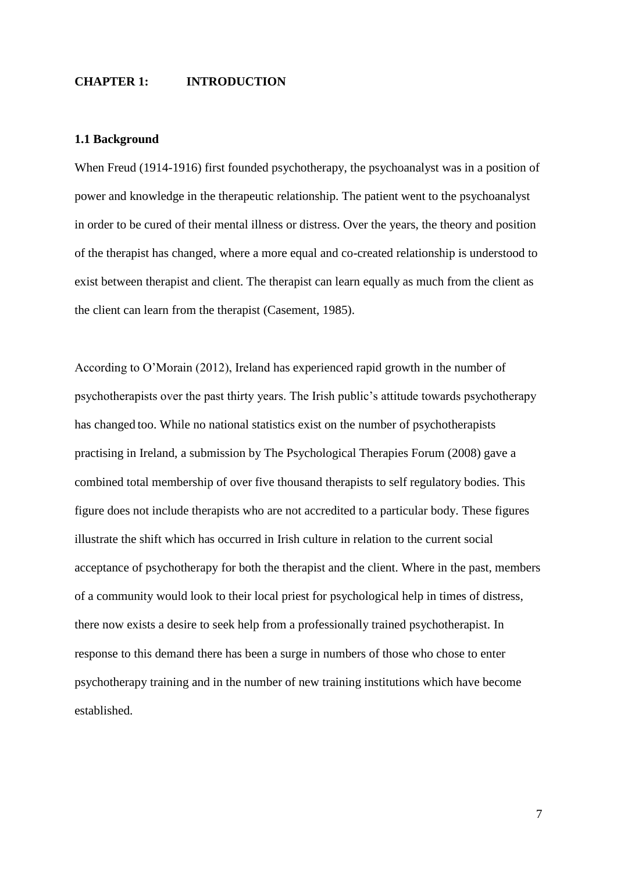## **CHAPTER 1: INTRODUCTION**

#### **1.1 Background**

When Freud (1914-1916) first founded psychotherapy, the psychoanalyst was in a position of power and knowledge in the therapeutic relationship. The patient went to the psychoanalyst in order to be cured of their mental illness or distress. Over the years, the theory and position of the therapist has changed, where a more equal and co-created relationship is understood to exist between therapist and client. The therapist can learn equally as much from the client as the client can learn from the therapist (Casement, 1985).

According to O'Morain (2012), Ireland has experienced rapid growth in the number of psychotherapists over the past thirty years. The Irish public's attitude towards psychotherapy has changed too. While no national statistics exist on the number of psychotherapists practising in Ireland, a submission by The Psychological Therapies Forum (2008) gave a combined total membership of over five thousand therapists to self regulatory bodies. This figure does not include therapists who are not accredited to a particular body. These figures illustrate the shift which has occurred in Irish culture in relation to the current social acceptance of psychotherapy for both the therapist and the client. Where in the past, members of a community would look to their local priest for psychological help in times of distress, there now exists a desire to seek help from a professionally trained psychotherapist. In response to this demand there has been a surge in numbers of those who chose to enter psychotherapy training and in the number of new training institutions which have become established.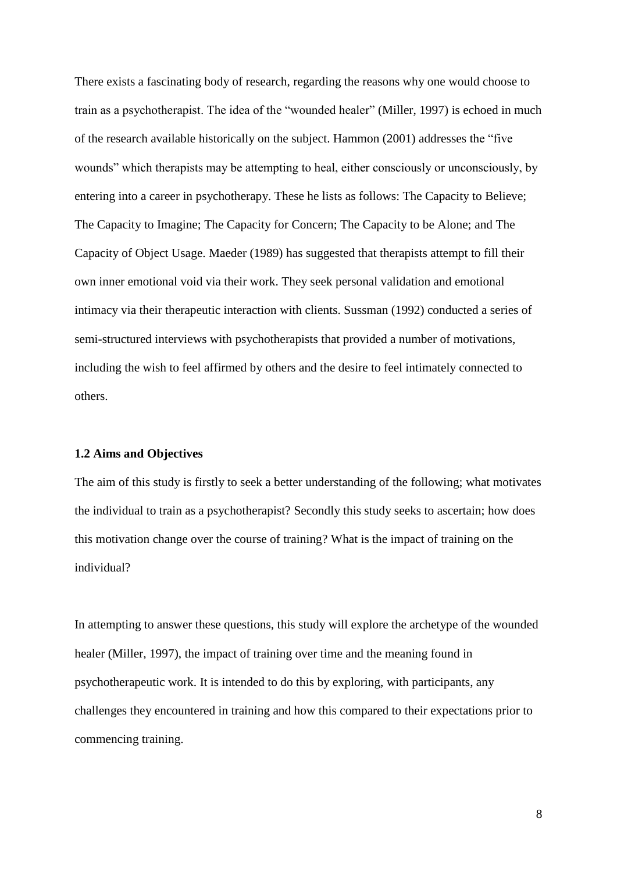There exists a fascinating body of research, regarding the reasons why one would choose to train as a psychotherapist. The idea of the "wounded healer" (Miller, 1997) is echoed in much of the research available historically on the subject. Hammon (2001) addresses the "five wounds" which therapists may be attempting to heal, either consciously or unconsciously, by entering into a career in psychotherapy. These he lists as follows: The Capacity to Believe; The Capacity to Imagine; The Capacity for Concern; The Capacity to be Alone; and The Capacity of Object Usage. Maeder (1989) has suggested that therapists attempt to fill their own inner emotional void via their work. They seek personal validation and emotional intimacy via their therapeutic interaction with clients. Sussman (1992) conducted a series of semi-structured interviews with psychotherapists that provided a number of motivations, including the wish to feel affirmed by others and the desire to feel intimately connected to others.

# **1.2 Aims and Objectives**

The aim of this study is firstly to seek a better understanding of the following; what motivates the individual to train as a psychotherapist? Secondly this study seeks to ascertain; how does this motivation change over the course of training? What is the impact of training on the individual?

In attempting to answer these questions, this study will explore the archetype of the wounded healer (Miller, 1997), the impact of training over time and the meaning found in psychotherapeutic work. It is intended to do this by exploring, with participants, any challenges they encountered in training and how this compared to their expectations prior to commencing training.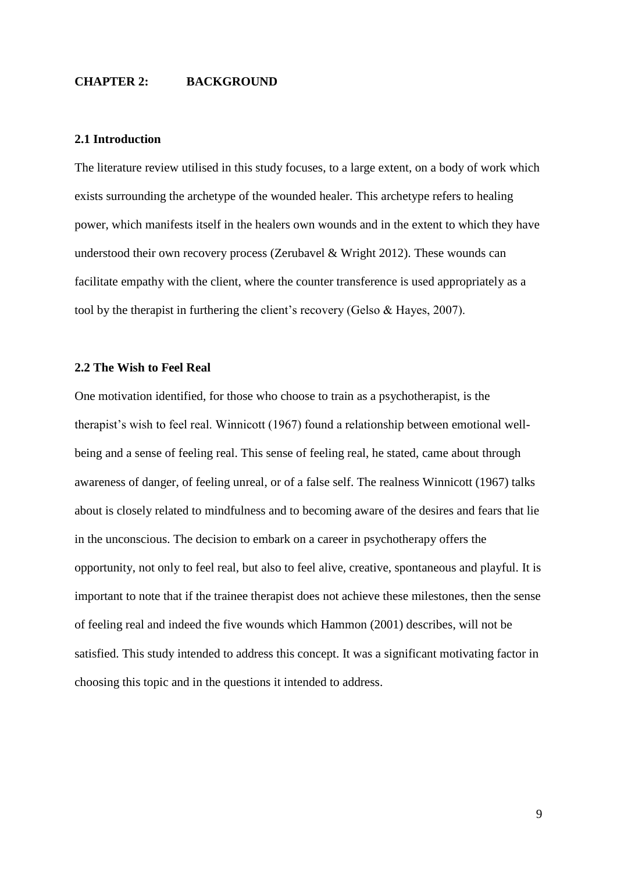# **CHAPTER 2: BACKGROUND**

#### **2.1 Introduction**

The literature review utilised in this study focuses, to a large extent, on a body of work which exists surrounding the archetype of the wounded healer. This archetype refers to healing power, which manifests itself in the healers own wounds and in the extent to which they have understood their own recovery process (Zerubavel & Wright 2012). These wounds can facilitate empathy with the client, where the counter transference is used appropriately as a tool by the therapist in furthering the client's recovery (Gelso & Hayes, 2007).

# **2.2 The Wish to Feel Real**

One motivation identified, for those who choose to train as a psychotherapist, is the therapist's wish to feel real. Winnicott (1967) found a relationship between emotional wellbeing and a sense of feeling real. This sense of feeling real, he stated, came about through awareness of danger, of feeling unreal, or of a false self. The realness Winnicott (1967) talks about is closely related to mindfulness and to becoming aware of the desires and fears that lie in the unconscious. The decision to embark on a career in psychotherapy offers the opportunity, not only to feel real, but also to feel alive, creative, spontaneous and playful. It is important to note that if the trainee therapist does not achieve these milestones, then the sense of feeling real and indeed the five wounds which Hammon (2001) describes, will not be satisfied. This study intended to address this concept. It was a significant motivating factor in choosing this topic and in the questions it intended to address.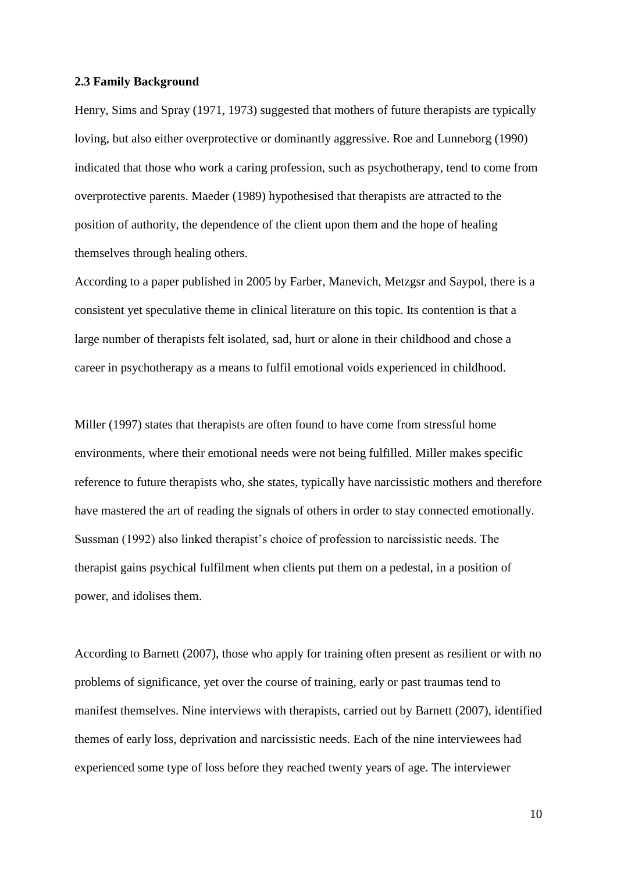#### **2.3 Family Background**

Henry, Sims and Spray (1971, 1973) suggested that mothers of future therapists are typically loving, but also either overprotective or dominantly aggressive. Roe and Lunneborg (1990) indicated that those who work a caring profession, such as psychotherapy, tend to come from overprotective parents. Maeder (1989) hypothesised that therapists are attracted to the position of authority, the dependence of the client upon them and the hope of healing themselves through healing others.

According to a paper published in 2005 by Farber, Manevich, Metzgsr and Saypol, there is a consistent yet speculative theme in clinical literature on this topic. Its contention is that a large number of therapists felt isolated, sad, hurt or alone in their childhood and chose a career in psychotherapy as a means to fulfil emotional voids experienced in childhood.

Miller (1997) states that therapists are often found to have come from stressful home environments, where their emotional needs were not being fulfilled. Miller makes specific reference to future therapists who, she states, typically have narcissistic mothers and therefore have mastered the art of reading the signals of others in order to stay connected emotionally. Sussman (1992) also linked therapist's choice of profession to narcissistic needs. The therapist gains psychical fulfilment when clients put them on a pedestal, in a position of power, and idolises them.

According to Barnett (2007), those who apply for training often present as resilient or with no problems of significance, yet over the course of training, early or past traumas tend to manifest themselves. Nine interviews with therapists, carried out by Barnett (2007), identified themes of early loss, deprivation and narcissistic needs. Each of the nine interviewees had experienced some type of loss before they reached twenty years of age. The interviewer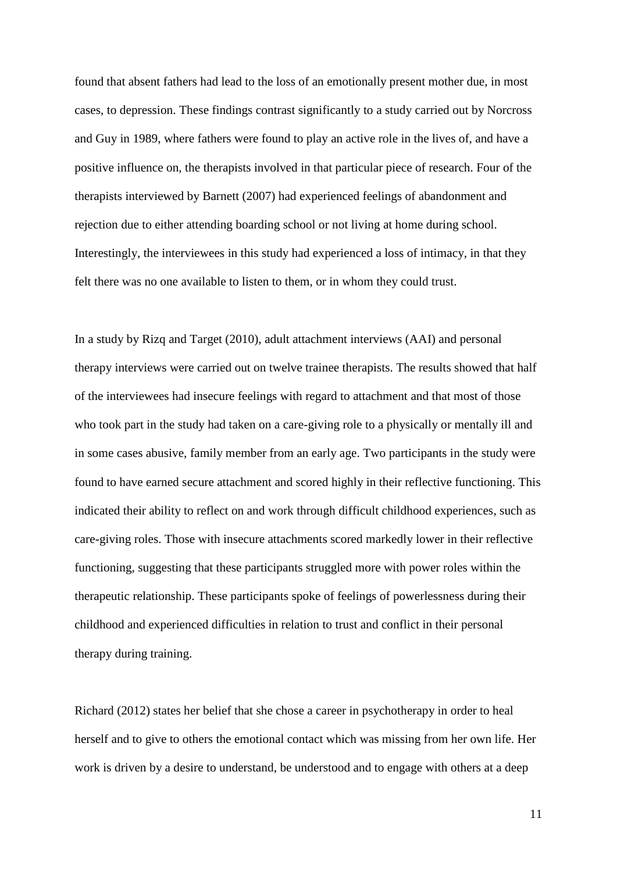found that absent fathers had lead to the loss of an emotionally present mother due, in most cases, to depression. These findings contrast significantly to a study carried out by Norcross and Guy in 1989, where fathers were found to play an active role in the lives of, and have a positive influence on, the therapists involved in that particular piece of research. Four of the therapists interviewed by Barnett (2007) had experienced feelings of abandonment and rejection due to either attending boarding school or not living at home during school. Interestingly, the interviewees in this study had experienced a loss of intimacy, in that they felt there was no one available to listen to them, or in whom they could trust.

In a study by Rizq and Target (2010), adult attachment interviews (AAI) and personal therapy interviews were carried out on twelve trainee therapists. The results showed that half of the interviewees had insecure feelings with regard to attachment and that most of those who took part in the study had taken on a care-giving role to a physically or mentally ill and in some cases abusive, family member from an early age. Two participants in the study were found to have earned secure attachment and scored highly in their reflective functioning. This indicated their ability to reflect on and work through difficult childhood experiences, such as care-giving roles. Those with insecure attachments scored markedly lower in their reflective functioning, suggesting that these participants struggled more with power roles within the therapeutic relationship. These participants spoke of feelings of powerlessness during their childhood and experienced difficulties in relation to trust and conflict in their personal therapy during training.

Richard (2012) states her belief that she chose a career in psychotherapy in order to heal herself and to give to others the emotional contact which was missing from her own life. Her work is driven by a desire to understand, be understood and to engage with others at a deep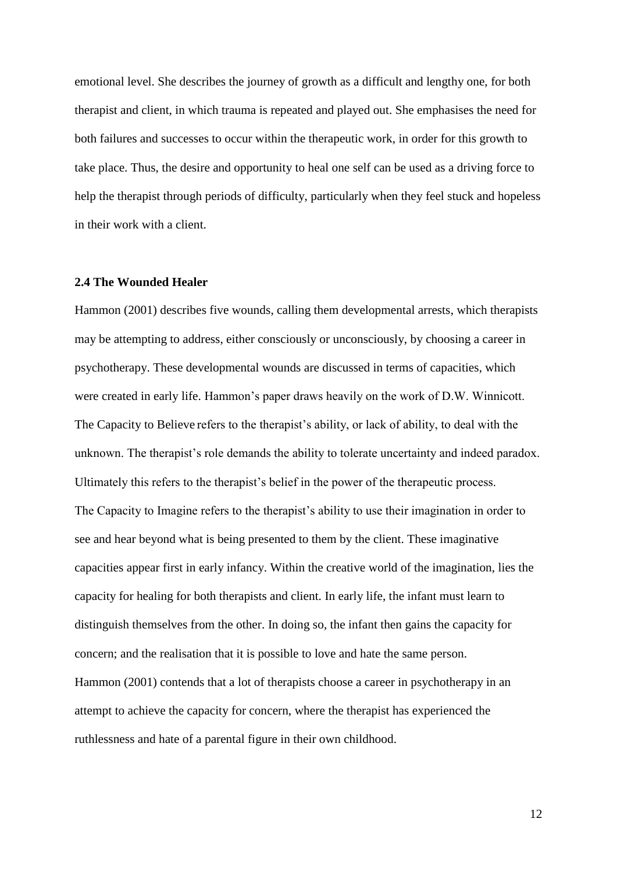emotional level. She describes the journey of growth as a difficult and lengthy one, for both therapist and client, in which trauma is repeated and played out. She emphasises the need for both failures and successes to occur within the therapeutic work, in order for this growth to take place. Thus, the desire and opportunity to heal one self can be used as a driving force to help the therapist through periods of difficulty, particularly when they feel stuck and hopeless in their work with a client.

#### **2.4 The Wounded Healer**

Hammon (2001) describes five wounds, calling them developmental arrests, which therapists may be attempting to address, either consciously or unconsciously, by choosing a career in psychotherapy. These developmental wounds are discussed in terms of capacities, which were created in early life. Hammon's paper draws heavily on the work of D.W. Winnicott. The Capacity to Believe refers to the therapist's ability, or lack of ability, to deal with the unknown. The therapist's role demands the ability to tolerate uncertainty and indeed paradox. Ultimately this refers to the therapist's belief in the power of the therapeutic process. The Capacity to Imagine refers to the therapist's ability to use their imagination in order to see and hear beyond what is being presented to them by the client. These imaginative capacities appear first in early infancy. Within the creative world of the imagination, lies the capacity for healing for both therapists and client. In early life, the infant must learn to distinguish themselves from the other. In doing so, the infant then gains the capacity for concern; and the realisation that it is possible to love and hate the same person. Hammon (2001) contends that a lot of therapists choose a career in psychotherapy in an attempt to achieve the capacity for concern, where the therapist has experienced the ruthlessness and hate of a parental figure in their own childhood.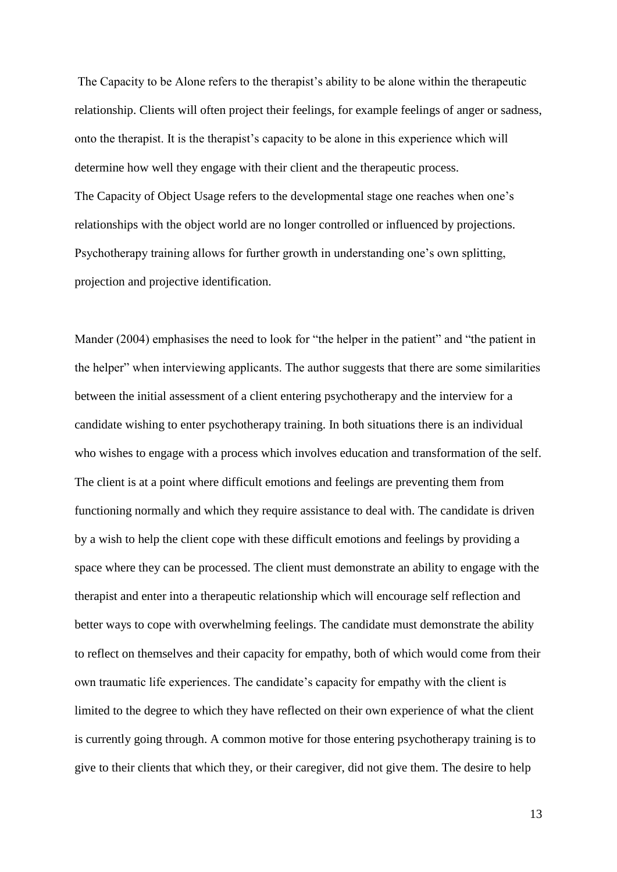The Capacity to be Alone refers to the therapist's ability to be alone within the therapeutic relationship. Clients will often project their feelings, for example feelings of anger or sadness, onto the therapist. It is the therapist's capacity to be alone in this experience which will determine how well they engage with their client and the therapeutic process. The Capacity of Object Usage refers to the developmental stage one reaches when one's relationships with the object world are no longer controlled or influenced by projections. Psychotherapy training allows for further growth in understanding one's own splitting, projection and projective identification.

Mander (2004) emphasises the need to look for "the helper in the patient" and "the patient in the helper" when interviewing applicants. The author suggests that there are some similarities between the initial assessment of a client entering psychotherapy and the interview for a candidate wishing to enter psychotherapy training. In both situations there is an individual who wishes to engage with a process which involves education and transformation of the self. The client is at a point where difficult emotions and feelings are preventing them from functioning normally and which they require assistance to deal with. The candidate is driven by a wish to help the client cope with these difficult emotions and feelings by providing a space where they can be processed. The client must demonstrate an ability to engage with the therapist and enter into a therapeutic relationship which will encourage self reflection and better ways to cope with overwhelming feelings. The candidate must demonstrate the ability to reflect on themselves and their capacity for empathy, both of which would come from their own traumatic life experiences. The candidate's capacity for empathy with the client is limited to the degree to which they have reflected on their own experience of what the client is currently going through. A common motive for those entering psychotherapy training is to give to their clients that which they, or their caregiver, did not give them. The desire to help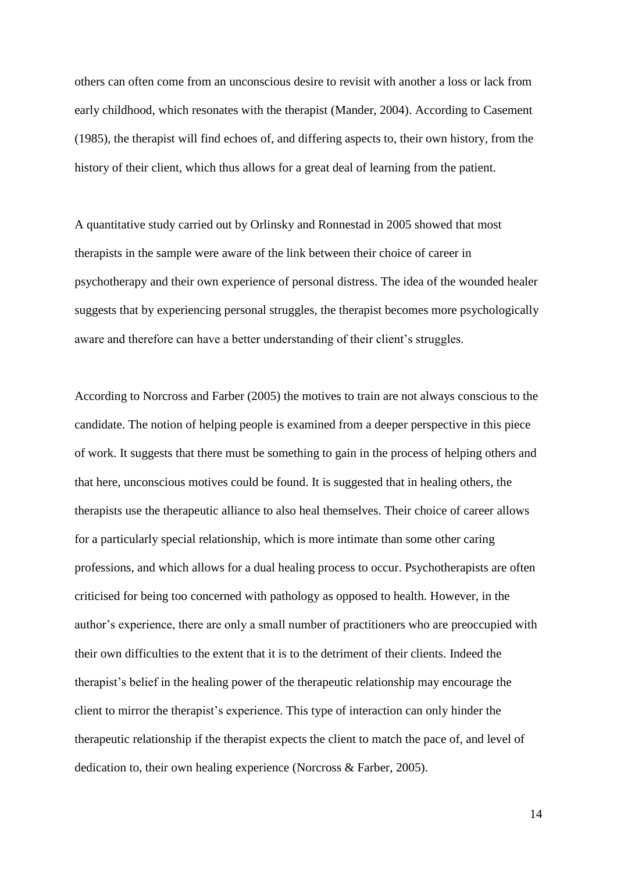others can often come from an unconscious desire to revisit with another a loss or lack from early childhood, which resonates with the therapist (Mander, 2004). According to Casement (1985), the therapist will find echoes of, and differing aspects to, their own history, from the history of their client, which thus allows for a great deal of learning from the patient.

A quantitative study carried out by Orlinsky and Ronnestad in 2005 showed that most therapists in the sample were aware of the link between their choice of career in psychotherapy and their own experience of personal distress. The idea of the wounded healer suggests that by experiencing personal struggles, the therapist becomes more psychologically aware and therefore can have a better understanding of their client's struggles.

According to Norcross and Farber (2005) the motives to train are not always conscious to the candidate. The notion of helping people is examined from a deeper perspective in this piece of work. It suggests that there must be something to gain in the process of helping others and that here, unconscious motives could be found. It is suggested that in healing others, the therapists use the therapeutic alliance to also heal themselves. Their choice of career allows for a particularly special relationship, which is more intimate than some other caring professions, and which allows for a dual healing process to occur. Psychotherapists are often criticised for being too concerned with pathology as opposed to health. However, in the author's experience, there are only a small number of practitioners who are preoccupied with their own difficulties to the extent that it is to the detriment of their clients. Indeed the therapist's belief in the healing power of the therapeutic relationship may encourage the client to mirror the therapist's experience. This type of interaction can only hinder the therapeutic relationship if the therapist expects the client to match the pace of, and level of dedication to, their own healing experience (Norcross & Farber, 2005).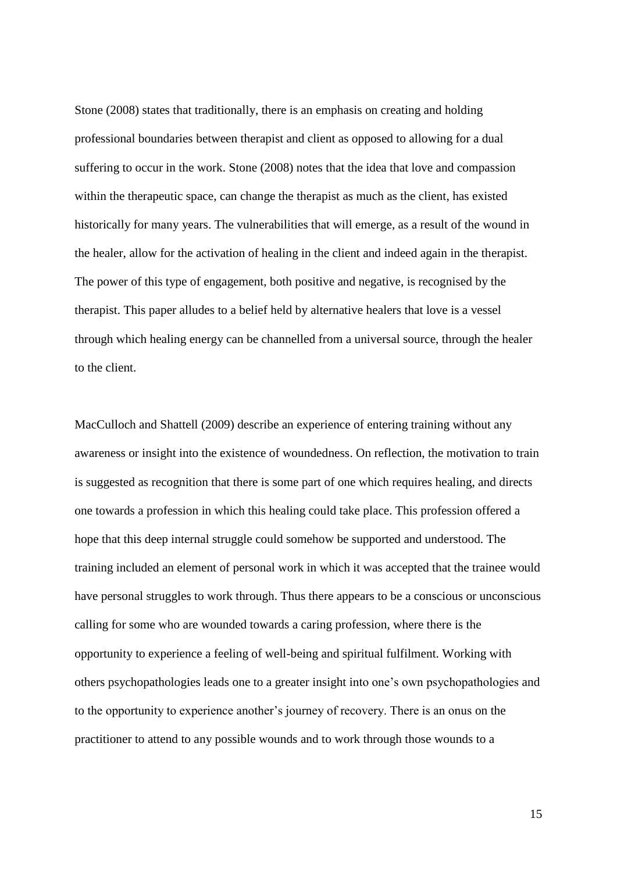Stone (2008) states that traditionally, there is an emphasis on creating and holding professional boundaries between therapist and client as opposed to allowing for a dual suffering to occur in the work. Stone (2008) notes that the idea that love and compassion within the therapeutic space, can change the therapist as much as the client, has existed historically for many years. The vulnerabilities that will emerge, as a result of the wound in the healer, allow for the activation of healing in the client and indeed again in the therapist. The power of this type of engagement, both positive and negative, is recognised by the therapist. This paper alludes to a belief held by alternative healers that love is a vessel through which healing energy can be channelled from a universal source, through the healer to the client.

MacCulloch and Shattell (2009) describe an experience of entering training without any awareness or insight into the existence of woundedness. On reflection, the motivation to train is suggested as recognition that there is some part of one which requires healing, and directs one towards a profession in which this healing could take place. This profession offered a hope that this deep internal struggle could somehow be supported and understood. The training included an element of personal work in which it was accepted that the trainee would have personal struggles to work through. Thus there appears to be a conscious or unconscious calling for some who are wounded towards a caring profession, where there is the opportunity to experience a feeling of well-being and spiritual fulfilment. Working with others psychopathologies leads one to a greater insight into one's own psychopathologies and to the opportunity to experience another's journey of recovery. There is an onus on the practitioner to attend to any possible wounds and to work through those wounds to a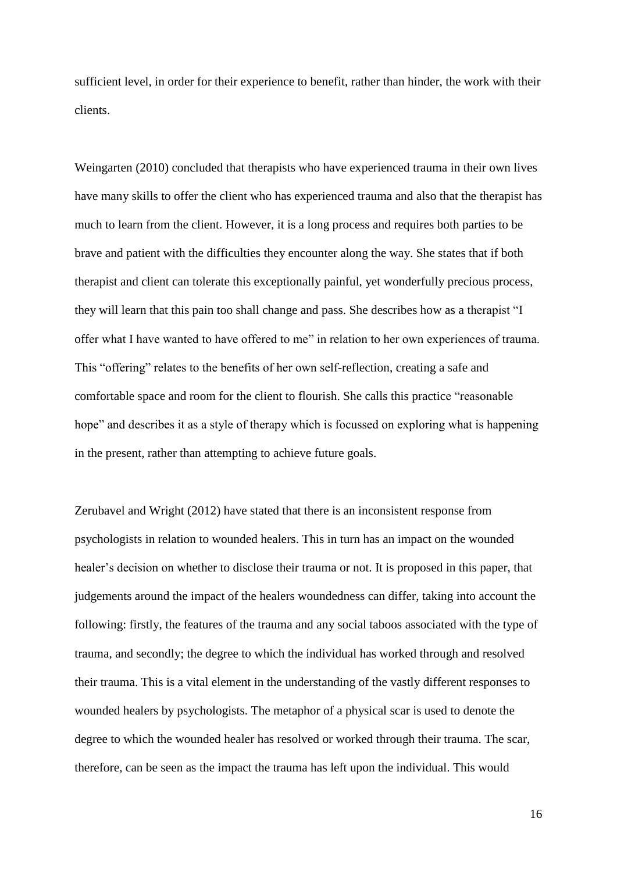sufficient level, in order for their experience to benefit, rather than hinder, the work with their clients.

Weingarten (2010) concluded that therapists who have experienced trauma in their own lives have many skills to offer the client who has experienced trauma and also that the therapist has much to learn from the client. However, it is a long process and requires both parties to be brave and patient with the difficulties they encounter along the way. She states that if both therapist and client can tolerate this exceptionally painful, yet wonderfully precious process, they will learn that this pain too shall change and pass. She describes how as a therapist "I offer what I have wanted to have offered to me" in relation to her own experiences of trauma. This "offering" relates to the benefits of her own self-reflection, creating a safe and comfortable space and room for the client to flourish. She calls this practice "reasonable hope" and describes it as a style of therapy which is focussed on exploring what is happening in the present, rather than attempting to achieve future goals.

Zerubavel and Wright (2012) have stated that there is an inconsistent response from psychologists in relation to wounded healers. This in turn has an impact on the wounded healer's decision on whether to disclose their trauma or not. It is proposed in this paper, that judgements around the impact of the healers woundedness can differ, taking into account the following: firstly, the features of the trauma and any social taboos associated with the type of trauma, and secondly; the degree to which the individual has worked through and resolved their trauma. This is a vital element in the understanding of the vastly different responses to wounded healers by psychologists. The metaphor of a physical scar is used to denote the degree to which the wounded healer has resolved or worked through their trauma. The scar, therefore, can be seen as the impact the trauma has left upon the individual. This would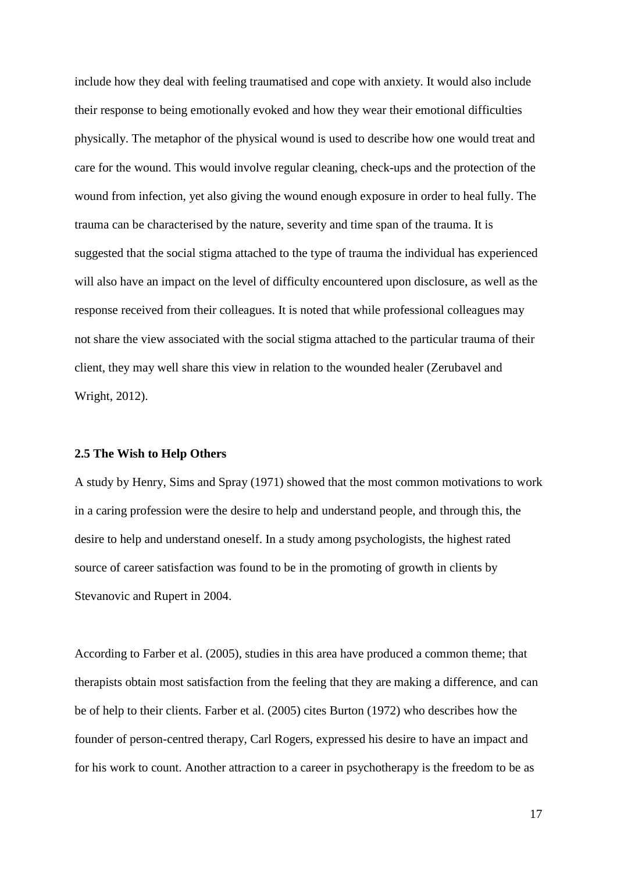include how they deal with feeling traumatised and cope with anxiety. It would also include their response to being emotionally evoked and how they wear their emotional difficulties physically. The metaphor of the physical wound is used to describe how one would treat and care for the wound. This would involve regular cleaning, check-ups and the protection of the wound from infection, yet also giving the wound enough exposure in order to heal fully. The trauma can be characterised by the nature, severity and time span of the trauma. It is suggested that the social stigma attached to the type of trauma the individual has experienced will also have an impact on the level of difficulty encountered upon disclosure, as well as the response received from their colleagues. It is noted that while professional colleagues may not share the view associated with the social stigma attached to the particular trauma of their client, they may well share this view in relation to the wounded healer (Zerubavel and Wright, 2012).

#### **2.5 The Wish to Help Others**

A study by Henry, Sims and Spray (1971) showed that the most common motivations to work in a caring profession were the desire to help and understand people, and through this, the desire to help and understand oneself. In a study among psychologists, the highest rated source of career satisfaction was found to be in the promoting of growth in clients by Stevanovic and Rupert in 2004.

According to Farber et al. (2005), studies in this area have produced a common theme; that therapists obtain most satisfaction from the feeling that they are making a difference, and can be of help to their clients. Farber et al. (2005) cites Burton (1972) who describes how the founder of person-centred therapy, Carl Rogers, expressed his desire to have an impact and for his work to count. Another attraction to a career in psychotherapy is the freedom to be as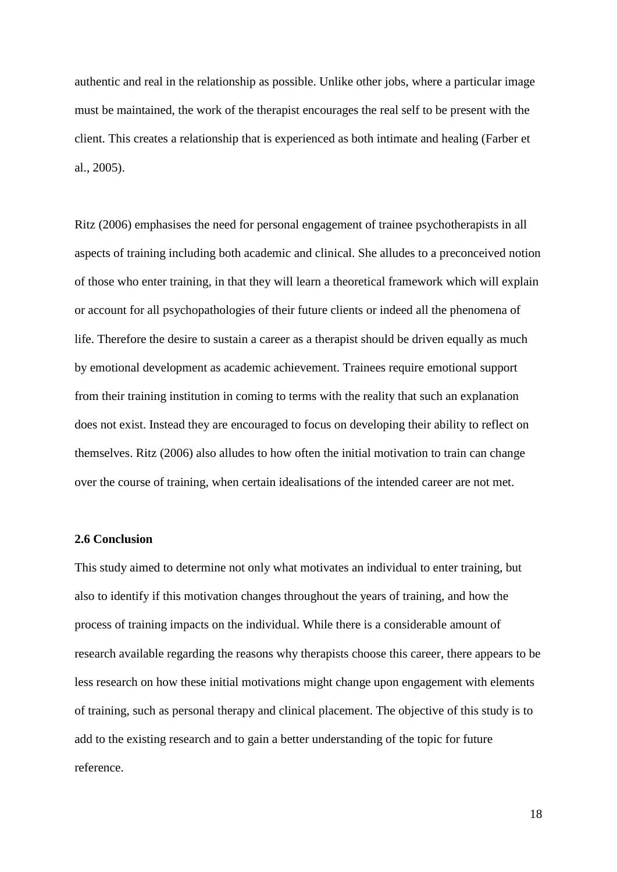authentic and real in the relationship as possible. Unlike other jobs, where a particular image must be maintained, the work of the therapist encourages the real self to be present with the client. This creates a relationship that is experienced as both intimate and healing (Farber et al., 2005).

Ritz (2006) emphasises the need for personal engagement of trainee psychotherapists in all aspects of training including both academic and clinical. She alludes to a preconceived notion of those who enter training, in that they will learn a theoretical framework which will explain or account for all psychopathologies of their future clients or indeed all the phenomena of life. Therefore the desire to sustain a career as a therapist should be driven equally as much by emotional development as academic achievement. Trainees require emotional support from their training institution in coming to terms with the reality that such an explanation does not exist. Instead they are encouraged to focus on developing their ability to reflect on themselves. Ritz (2006) also alludes to how often the initial motivation to train can change over the course of training, when certain idealisations of the intended career are not met.

# **2.6 Conclusion**

This study aimed to determine not only what motivates an individual to enter training, but also to identify if this motivation changes throughout the years of training, and how the process of training impacts on the individual. While there is a considerable amount of research available regarding the reasons why therapists choose this career, there appears to be less research on how these initial motivations might change upon engagement with elements of training, such as personal therapy and clinical placement. The objective of this study is to add to the existing research and to gain a better understanding of the topic for future reference.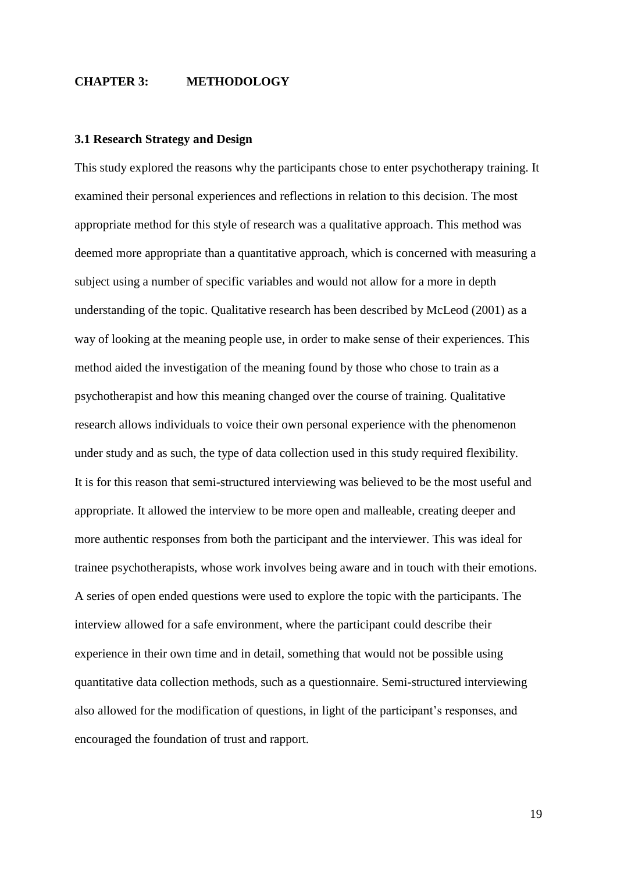## **CHAPTER 3: METHODOLOGY**

#### **3.1 Research Strategy and Design**

This study explored the reasons why the participants chose to enter psychotherapy training. It examined their personal experiences and reflections in relation to this decision. The most appropriate method for this style of research was a qualitative approach. This method was deemed more appropriate than a quantitative approach, which is concerned with measuring a subject using a number of specific variables and would not allow for a more in depth understanding of the topic. Qualitative research has been described by McLeod (2001) as a way of looking at the meaning people use, in order to make sense of their experiences. This method aided the investigation of the meaning found by those who chose to train as a psychotherapist and how this meaning changed over the course of training. Qualitative research allows individuals to voice their own personal experience with the phenomenon under study and as such, the type of data collection used in this study required flexibility. It is for this reason that semi-structured interviewing was believed to be the most useful and appropriate. It allowed the interview to be more open and malleable, creating deeper and more authentic responses from both the participant and the interviewer. This was ideal for trainee psychotherapists, whose work involves being aware and in touch with their emotions. A series of open ended questions were used to explore the topic with the participants. The interview allowed for a safe environment, where the participant could describe their experience in their own time and in detail, something that would not be possible using quantitative data collection methods, such as a questionnaire. Semi-structured interviewing also allowed for the modification of questions, in light of the participant's responses, and encouraged the foundation of trust and rapport.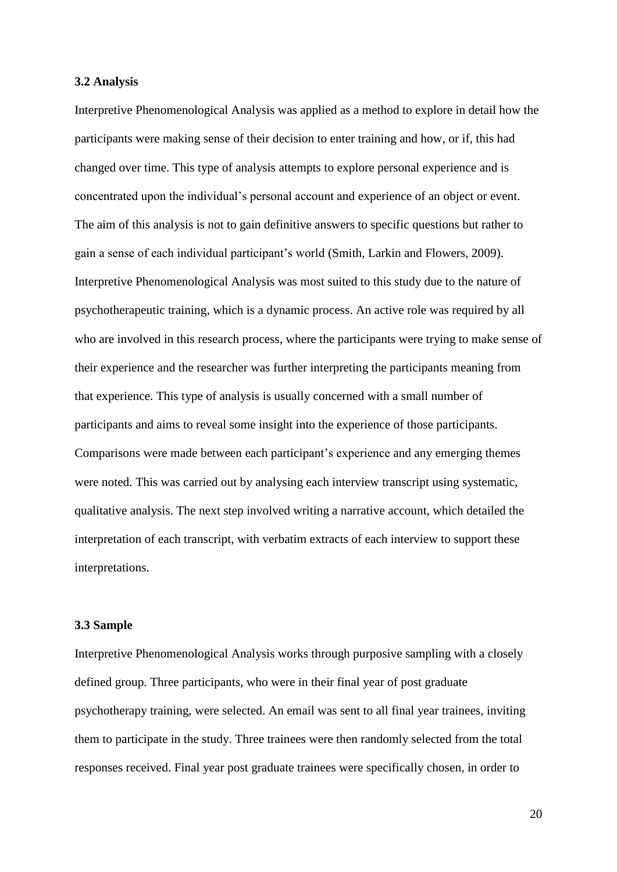#### **3.2 Analysis**

Interpretive Phenomenological Analysis was applied as a method to explore in detail how the participants were making sense of their decision to enter training and how, or if, this had changed over time. This type of analysis attempts to explore personal experience and is concentrated upon the individual's personal account and experience of an object or event. The aim of this analysis is not to gain definitive answers to specific questions but rather to gain a sense of each individual participant's world (Smith, Larkin and Flowers, 2009). Interpretive Phenomenological Analysis was most suited to this study due to the nature of psychotherapeutic training, which is a dynamic process. An active role was required by all who are involved in this research process, where the participants were trying to make sense of their experience and the researcher was further interpreting the participants meaning from that experience. This type of analysis is usually concerned with a small number of participants and aims to reveal some insight into the experience of those participants. Comparisons were made between each participant's experience and any emerging themes were noted. This was carried out by analysing each interview transcript using systematic, qualitative analysis. The next step involved writing a narrative account, which detailed the interpretation of each transcript, with verbatim extracts of each interview to support these interpretations.

#### **3.3 Sample**

Interpretive Phenomenological Analysis works through purposive sampling with a closely defined group. Three participants, who were in their final year of post graduate psychotherapy training, were selected. An email was sent to all final year trainees, inviting them to participate in the study. Three trainees were then randomly selected from the total responses received. Final year post graduate trainees were specifically chosen, in order to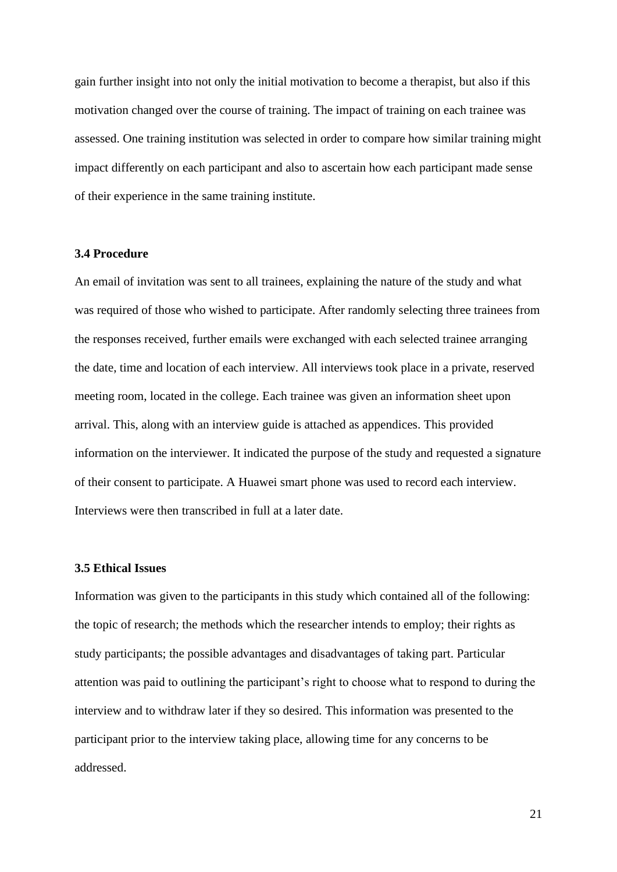gain further insight into not only the initial motivation to become a therapist, but also if this motivation changed over the course of training. The impact of training on each trainee was assessed. One training institution was selected in order to compare how similar training might impact differently on each participant and also to ascertain how each participant made sense of their experience in the same training institute.

### **3.4 Procedure**

An email of invitation was sent to all trainees, explaining the nature of the study and what was required of those who wished to participate. After randomly selecting three trainees from the responses received, further emails were exchanged with each selected trainee arranging the date, time and location of each interview. All interviews took place in a private, reserved meeting room, located in the college. Each trainee was given an information sheet upon arrival. This, along with an interview guide is attached as appendices. This provided information on the interviewer. It indicated the purpose of the study and requested a signature of their consent to participate. A Huawei smart phone was used to record each interview. Interviews were then transcribed in full at a later date.

#### **3.5 Ethical Issues**

Information was given to the participants in this study which contained all of the following: the topic of research; the methods which the researcher intends to employ; their rights as study participants; the possible advantages and disadvantages of taking part. Particular attention was paid to outlining the participant's right to choose what to respond to during the interview and to withdraw later if they so desired. This information was presented to the participant prior to the interview taking place, allowing time for any concerns to be addressed.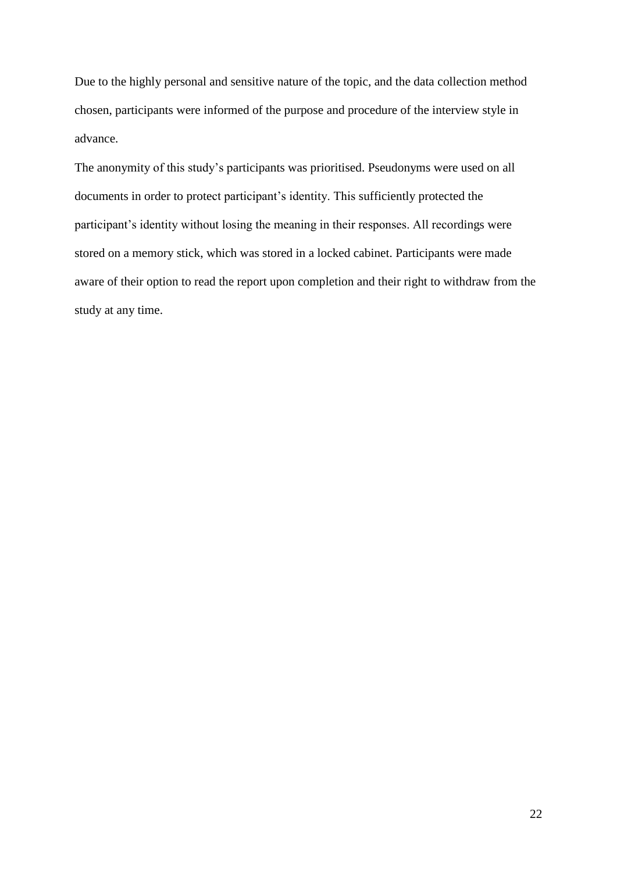Due to the highly personal and sensitive nature of the topic, and the data collection method chosen, participants were informed of the purpose and procedure of the interview style in advance.

The anonymity of this study's participants was prioritised. Pseudonyms were used on all documents in order to protect participant's identity. This sufficiently protected the participant's identity without losing the meaning in their responses. All recordings were stored on a memory stick, which was stored in a locked cabinet. Participants were made aware of their option to read the report upon completion and their right to withdraw from the study at any time.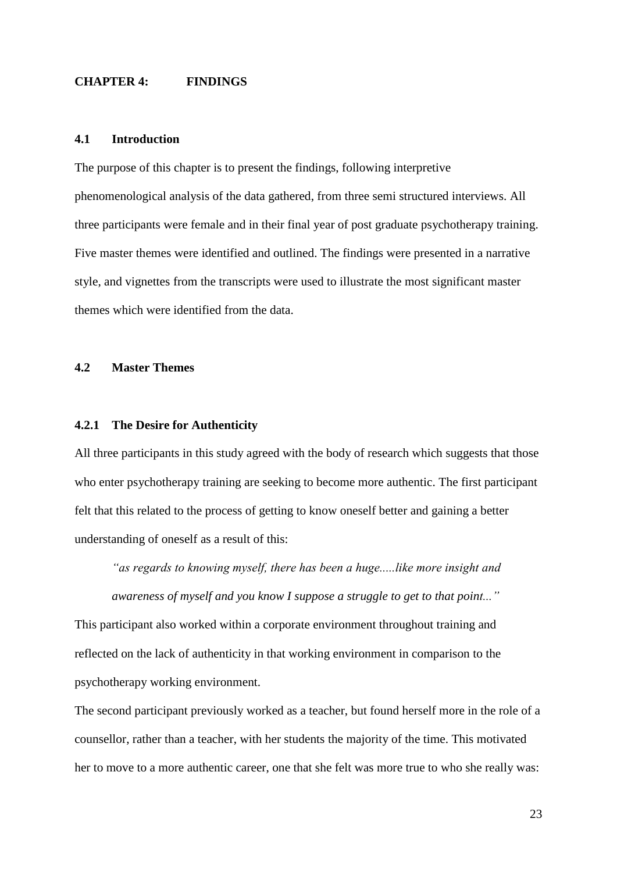## **CHAPTER 4: FINDINGS**

#### **4.1 Introduction**

The purpose of this chapter is to present the findings, following interpretive phenomenological analysis of the data gathered, from three semi structured interviews. All three participants were female and in their final year of post graduate psychotherapy training. Five master themes were identified and outlined. The findings were presented in a narrative style, and vignettes from the transcripts were used to illustrate the most significant master themes which were identified from the data.

# **4.2 Master Themes**

## **4.2.1 The Desire for Authenticity**

All three participants in this study agreed with the body of research which suggests that those who enter psychotherapy training are seeking to become more authentic. The first participant felt that this related to the process of getting to know oneself better and gaining a better understanding of oneself as a result of this:

*"as regards to knowing myself, there has been a huge.....like more insight and awareness of myself and you know I suppose a struggle to get to that point..."*

This participant also worked within a corporate environment throughout training and reflected on the lack of authenticity in that working environment in comparison to the psychotherapy working environment.

The second participant previously worked as a teacher, but found herself more in the role of a counsellor, rather than a teacher, with her students the majority of the time. This motivated her to move to a more authentic career, one that she felt was more true to who she really was: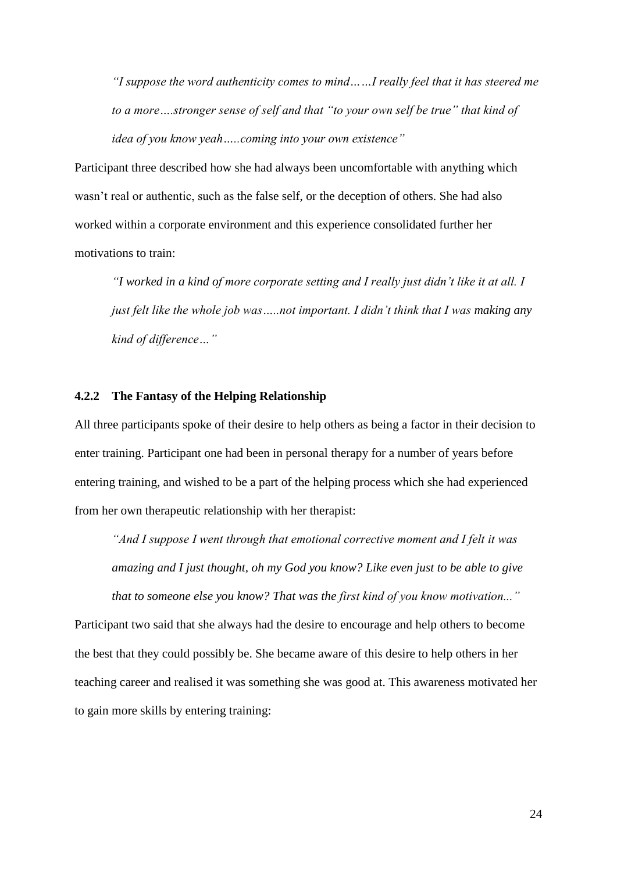*"I suppose the word authenticity comes to mind……I really feel that it has steered me to a more….stronger sense of self and that "to your own self be true" that kind of idea of you know yeah…..coming into your own existence"*

Participant three described how she had always been uncomfortable with anything which wasn't real or authentic, such as the false self, or the deception of others. She had also worked within a corporate environment and this experience consolidated further her motivations to train:

*"I worked in a kind of more corporate setting and I really just didn't like it at all. I just felt like the whole job was…..not important. I didn't think that I was making any kind of difference…"*

# **4.2.2 The Fantasy of the Helping Relationship**

All three participants spoke of their desire to help others as being a factor in their decision to enter training. Participant one had been in personal therapy for a number of years before entering training, and wished to be a part of the helping process which she had experienced from her own therapeutic relationship with her therapist:

*"And I suppose I went through that emotional corrective moment and I felt it was amazing and I just thought, oh my God you know? Like even just to be able to give that to someone else you know? That was the first kind of you know motivation..."*

Participant two said that she always had the desire to encourage and help others to become the best that they could possibly be. She became aware of this desire to help others in her teaching career and realised it was something she was good at. This awareness motivated her to gain more skills by entering training: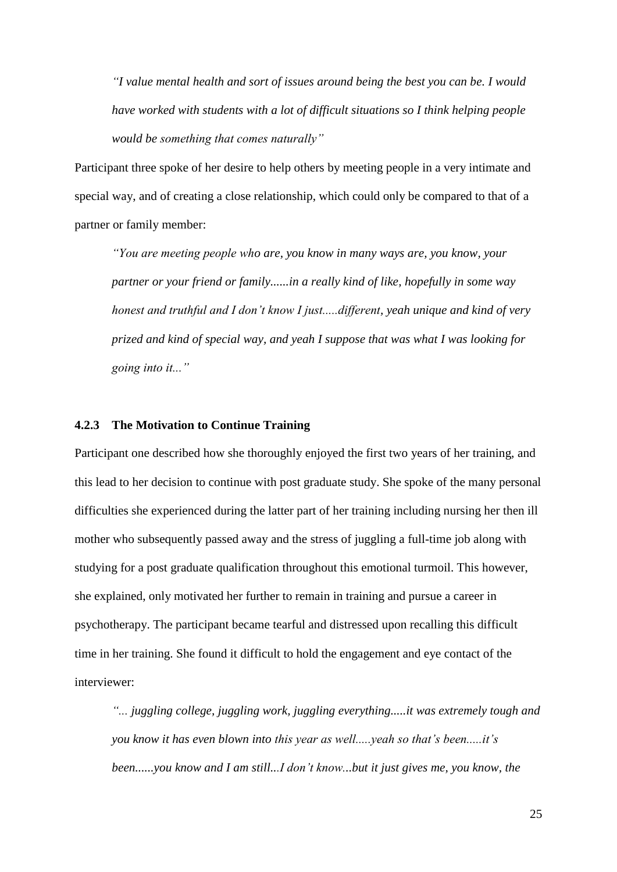*"I value mental health and sort of issues around being the best you can be. I would have worked with students with a lot of difficult situations so I think helping people would be something that comes naturally"*

Participant three spoke of her desire to help others by meeting people in a very intimate and special way, and of creating a close relationship, which could only be compared to that of a partner or family member:

*"You are meeting people who are, you know in many ways are, you know, your partner or your friend or family......in a really kind of like, hopefully in some way honest and truthful and I don't know I just.....different, yeah unique and kind of very prized and kind of special way, and yeah I suppose that was what I was looking for going into it..."*

# **4.2.3 The Motivation to Continue Training**

Participant one described how she thoroughly enjoyed the first two years of her training, and this lead to her decision to continue with post graduate study. She spoke of the many personal difficulties she experienced during the latter part of her training including nursing her then ill mother who subsequently passed away and the stress of juggling a full-time job along with studying for a post graduate qualification throughout this emotional turmoil. This however, she explained, only motivated her further to remain in training and pursue a career in psychotherapy. The participant became tearful and distressed upon recalling this difficult time in her training. She found it difficult to hold the engagement and eye contact of the interviewer:

*"... juggling college, juggling work, juggling everything.....it was extremely tough and you know it has even blown into this year as well.....yeah so that's been.....it's been......you know and I am still...I don't know...but it just gives me, you know, the*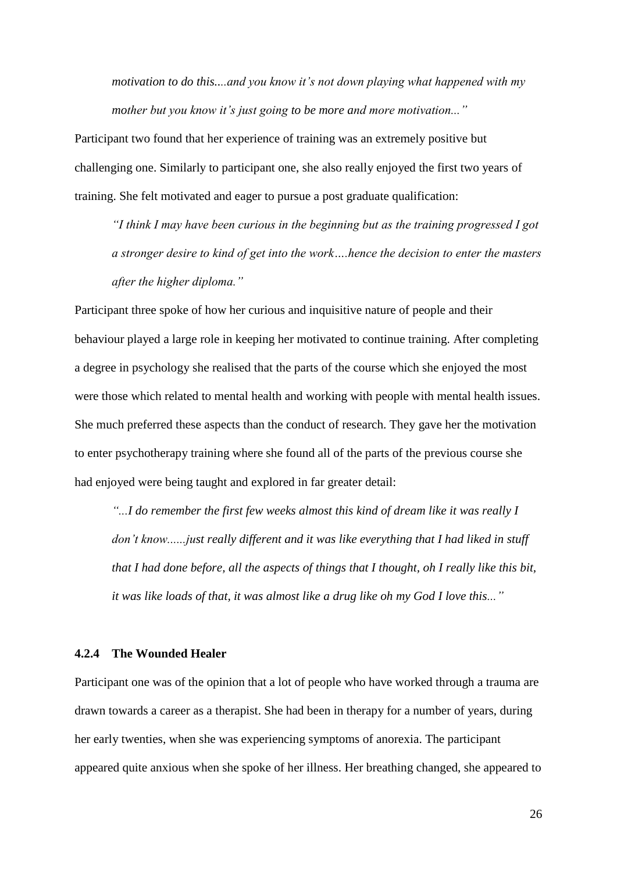*motivation to do this....and you know it's not down playing what happened with my mother but you know it's just going to be more and more motivation..."*

Participant two found that her experience of training was an extremely positive but challenging one. Similarly to participant one, she also really enjoyed the first two years of training. She felt motivated and eager to pursue a post graduate qualification:

*"I think I may have been curious in the beginning but as the training progressed I got a stronger desire to kind of get into the work….hence the decision to enter the masters after the higher diploma."*

Participant three spoke of how her curious and inquisitive nature of people and their behaviour played a large role in keeping her motivated to continue training. After completing a degree in psychology she realised that the parts of the course which she enjoyed the most were those which related to mental health and working with people with mental health issues. She much preferred these aspects than the conduct of research. They gave her the motivation to enter psychotherapy training where she found all of the parts of the previous course she had enjoyed were being taught and explored in far greater detail:

*"...I do remember the first few weeks almost this kind of dream like it was really I don't know......just really different and it was like everything that I had liked in stuff that I had done before, all the aspects of things that I thought, oh I really like this bit, it was like loads of that, it was almost like a drug like oh my God I love this..."*

# **4.2.4 The Wounded Healer**

Participant one was of the opinion that a lot of people who have worked through a trauma are drawn towards a career as a therapist. She had been in therapy for a number of years, during her early twenties, when she was experiencing symptoms of anorexia. The participant appeared quite anxious when she spoke of her illness. Her breathing changed, she appeared to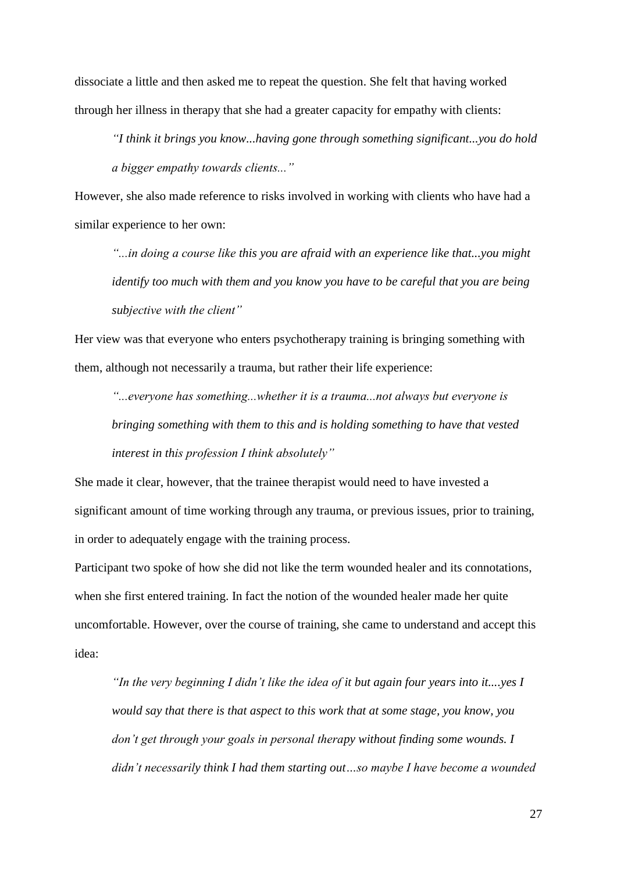dissociate a little and then asked me to repeat the question. She felt that having worked through her illness in therapy that she had a greater capacity for empathy with clients:

*"I think it brings you know...having gone through something significant...you do hold a bigger empathy towards clients..."*

However, she also made reference to risks involved in working with clients who have had a similar experience to her own:

*"...in doing a course like this you are afraid with an experience like that...you might identify too much with them and you know you have to be careful that you are being subjective with the client"*

Her view was that everyone who enters psychotherapy training is bringing something with them, although not necessarily a trauma, but rather their life experience:

*"...everyone has something...whether it is a trauma...not always but everyone is bringing something with them to this and is holding something to have that vested interest in this profession I think absolutely"*

She made it clear, however, that the trainee therapist would need to have invested a significant amount of time working through any trauma, or previous issues, prior to training, in order to adequately engage with the training process.

Participant two spoke of how she did not like the term wounded healer and its connotations, when she first entered training. In fact the notion of the wounded healer made her quite uncomfortable. However, over the course of training, she came to understand and accept this idea:

*"In the very beginning I didn't like the idea of it but again four years into it....yes I would say that there is that aspect to this work that at some stage, you know, you don't get through your goals in personal therapy without finding some wounds. I didn't necessarily think I had them starting out…so maybe I have become a wounded*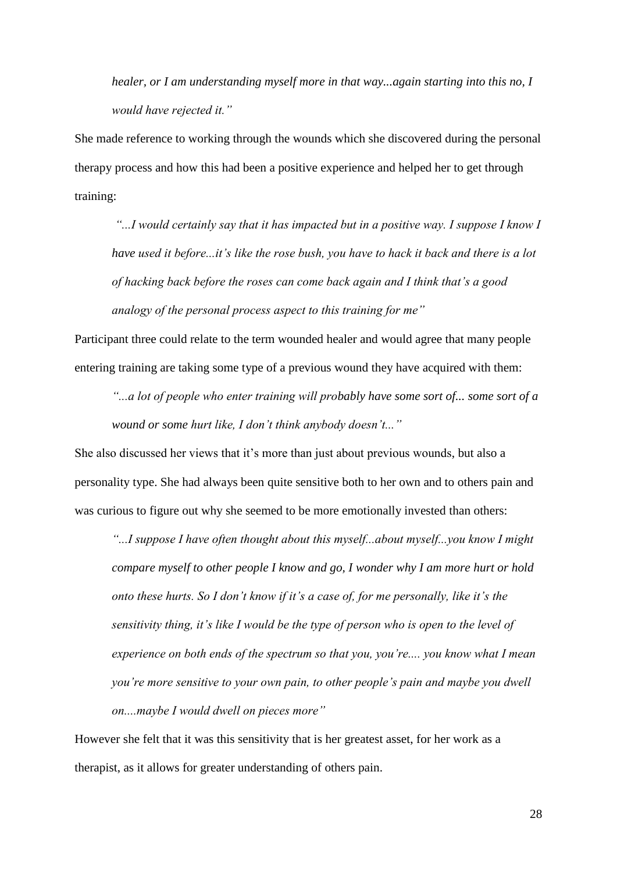*healer, or I am understanding myself more in that way...again starting into this no, I would have rejected it."*

She made reference to working through the wounds which she discovered during the personal therapy process and how this had been a positive experience and helped her to get through training:

*"...I would certainly say that it has impacted but in a positive way. I suppose I know I have used it before...it's like the rose bush, you have to hack it back and there is a lot of hacking back before the roses can come back again and I think that's a good analogy of the personal process aspect to this training for me"*

Participant three could relate to the term wounded healer and would agree that many people entering training are taking some type of a previous wound they have acquired with them:

*"...a lot of people who enter training will probably have some sort of... some sort of a wound or some hurt like, I don't think anybody doesn't..."*

She also discussed her views that it's more than just about previous wounds, but also a personality type. She had always been quite sensitive both to her own and to others pain and was curious to figure out why she seemed to be more emotionally invested than others:

*"...I suppose I have often thought about this myself...about myself...you know I might compare myself to other people I know and go, I wonder why I am more hurt or hold onto these hurts. So I don't know if it's a case of, for me personally, like it's the sensitivity thing, it's like I would be the type of person who is open to the level of experience on both ends of the spectrum so that you, you're.... you know what I mean you're more sensitive to your own pain, to other people's pain and maybe you dwell on....maybe I would dwell on pieces more"*

However she felt that it was this sensitivity that is her greatest asset, for her work as a therapist, as it allows for greater understanding of others pain.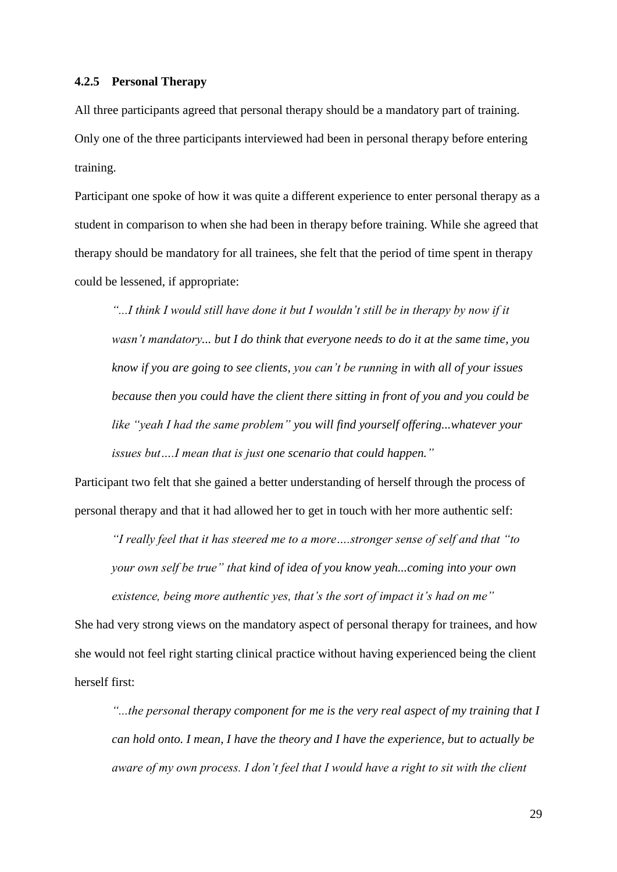#### **4.2.5 Personal Therapy**

All three participants agreed that personal therapy should be a mandatory part of training. Only one of the three participants interviewed had been in personal therapy before entering training.

Participant one spoke of how it was quite a different experience to enter personal therapy as a student in comparison to when she had been in therapy before training. While she agreed that therapy should be mandatory for all trainees, she felt that the period of time spent in therapy could be lessened, if appropriate:

*"...I think I would still have done it but I wouldn't still be in therapy by now if it wasn't mandatory... but I do think that everyone needs to do it at the same time, you know if you are going to see clients, you can't be running in with all of your issues because then you could have the client there sitting in front of you and you could be like "yeah I had the same problem" you will find yourself offering...whatever your issues but….I mean that is just one scenario that could happen."*

Participant two felt that she gained a better understanding of herself through the process of personal therapy and that it had allowed her to get in touch with her more authentic self:

*"I really feel that it has steered me to a more….stronger sense of self and that "to your own self be true" that kind of idea of you know yeah...coming into your own existence, being more authentic yes, that's the sort of impact it's had on me"*

She had very strong views on the mandatory aspect of personal therapy for trainees, and how she would not feel right starting clinical practice without having experienced being the client herself first:

*"...the personal therapy component for me is the very real aspect of my training that I can hold onto. I mean, I have the theory and I have the experience, but to actually be aware of my own process. I don't feel that I would have a right to sit with the client*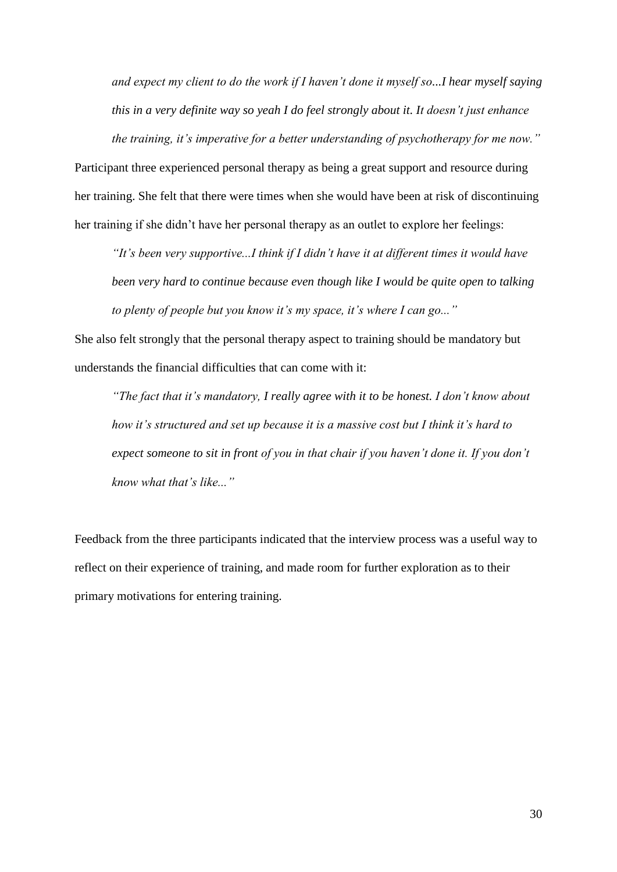*and expect my client to do the work if I haven't done it myself so...I hear myself saying this in a very definite way so yeah I do feel strongly about it. It doesn't just enhance the training, it's imperative for a better understanding of psychotherapy for me now."*

Participant three experienced personal therapy as being a great support and resource during her training. She felt that there were times when she would have been at risk of discontinuing her training if she didn't have her personal therapy as an outlet to explore her feelings:

*"It's been very supportive...I think if I didn't have it at different times it would have been very hard to continue because even though like I would be quite open to talking to plenty of people but you know it's my space, it's where I can go..."*

She also felt strongly that the personal therapy aspect to training should be mandatory but understands the financial difficulties that can come with it:

*"The fact that it's mandatory, I really agree with it to be honest. I don't know about how it's structured and set up because it is a massive cost but I think it's hard to expect someone to sit in front of you in that chair if you haven't done it. If you don't know what that's like..."*

Feedback from the three participants indicated that the interview process was a useful way to reflect on their experience of training, and made room for further exploration as to their primary motivations for entering training.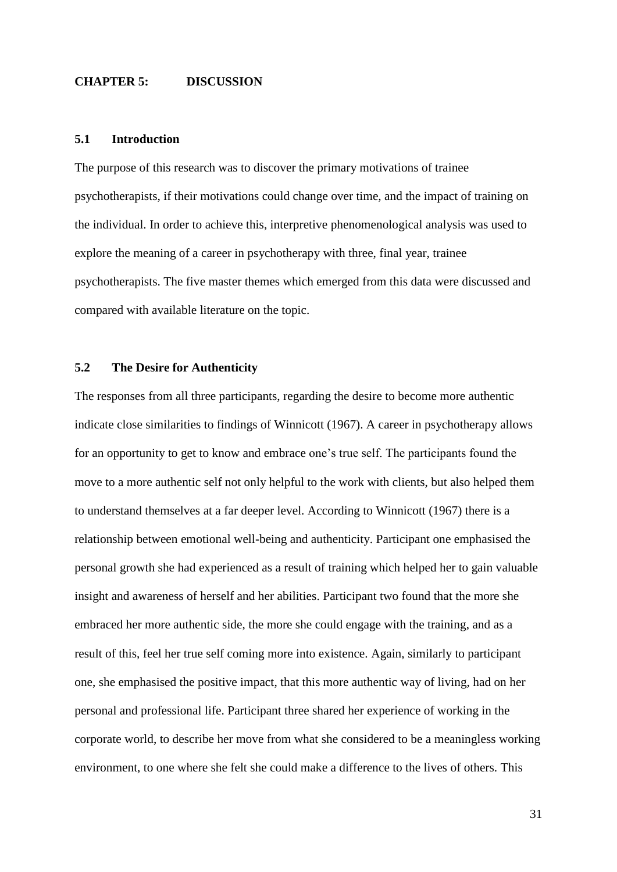## **CHAPTER 5: DISCUSSION**

#### **5.1 Introduction**

The purpose of this research was to discover the primary motivations of trainee psychotherapists, if their motivations could change over time, and the impact of training on the individual. In order to achieve this, interpretive phenomenological analysis was used to explore the meaning of a career in psychotherapy with three, final year, trainee psychotherapists. The five master themes which emerged from this data were discussed and compared with available literature on the topic.

# **5.2 The Desire for Authenticity**

The responses from all three participants, regarding the desire to become more authentic indicate close similarities to findings of Winnicott (1967). A career in psychotherapy allows for an opportunity to get to know and embrace one's true self. The participants found the move to a more authentic self not only helpful to the work with clients, but also helped them to understand themselves at a far deeper level. According to Winnicott (1967) there is a relationship between emotional well-being and authenticity. Participant one emphasised the personal growth she had experienced as a result of training which helped her to gain valuable insight and awareness of herself and her abilities. Participant two found that the more she embraced her more authentic side, the more she could engage with the training, and as a result of this, feel her true self coming more into existence. Again, similarly to participant one, she emphasised the positive impact, that this more authentic way of living, had on her personal and professional life. Participant three shared her experience of working in the corporate world, to describe her move from what she considered to be a meaningless working environment, to one where she felt she could make a difference to the lives of others. This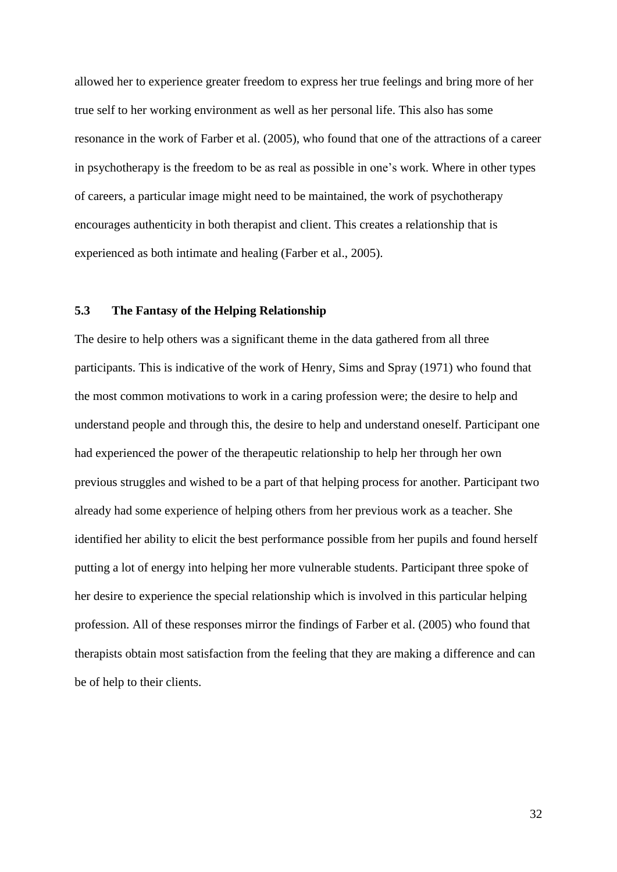allowed her to experience greater freedom to express her true feelings and bring more of her true self to her working environment as well as her personal life. This also has some resonance in the work of Farber et al. (2005), who found that one of the attractions of a career in psychotherapy is the freedom to be as real as possible in one's work. Where in other types of careers, a particular image might need to be maintained, the work of psychotherapy encourages authenticity in both therapist and client. This creates a relationship that is experienced as both intimate and healing (Farber et al., 2005).

## **5.3 The Fantasy of the Helping Relationship**

The desire to help others was a significant theme in the data gathered from all three participants. This is indicative of the work of Henry, Sims and Spray (1971) who found that the most common motivations to work in a caring profession were; the desire to help and understand people and through this, the desire to help and understand oneself. Participant one had experienced the power of the therapeutic relationship to help her through her own previous struggles and wished to be a part of that helping process for another. Participant two already had some experience of helping others from her previous work as a teacher. She identified her ability to elicit the best performance possible from her pupils and found herself putting a lot of energy into helping her more vulnerable students. Participant three spoke of her desire to experience the special relationship which is involved in this particular helping profession. All of these responses mirror the findings of Farber et al. (2005) who found that therapists obtain most satisfaction from the feeling that they are making a difference and can be of help to their clients.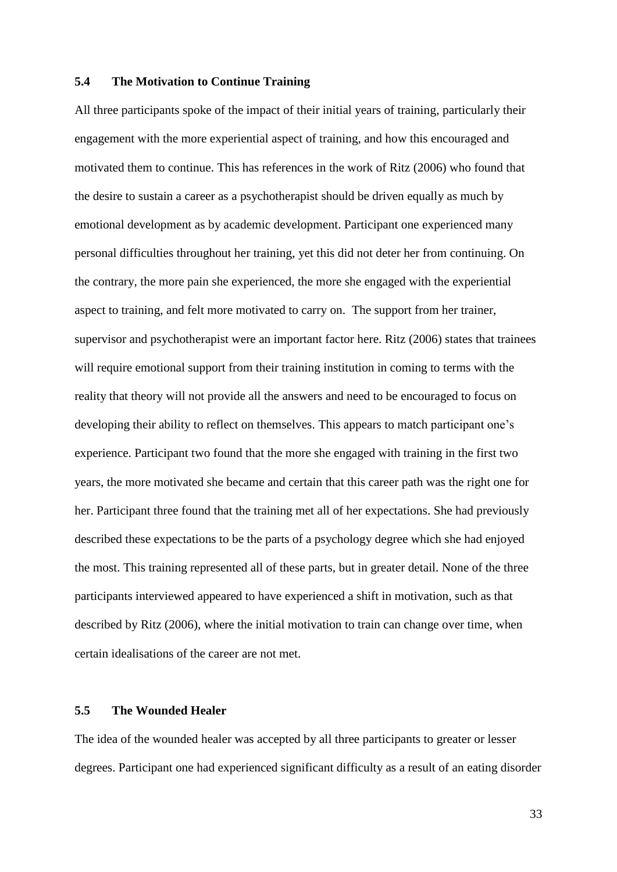#### **5.4 The Motivation to Continue Training**

All three participants spoke of the impact of their initial years of training, particularly their engagement with the more experiential aspect of training, and how this encouraged and motivated them to continue. This has references in the work of Ritz (2006) who found that the desire to sustain a career as a psychotherapist should be driven equally as much by emotional development as by academic development. Participant one experienced many personal difficulties throughout her training, yet this did not deter her from continuing. On the contrary, the more pain she experienced, the more she engaged with the experiential aspect to training, and felt more motivated to carry on. The support from her trainer, supervisor and psychotherapist were an important factor here. Ritz (2006) states that trainees will require emotional support from their training institution in coming to terms with the reality that theory will not provide all the answers and need to be encouraged to focus on developing their ability to reflect on themselves. This appears to match participant one's experience. Participant two found that the more she engaged with training in the first two years, the more motivated she became and certain that this career path was the right one for her. Participant three found that the training met all of her expectations. She had previously described these expectations to be the parts of a psychology degree which she had enjoyed the most. This training represented all of these parts, but in greater detail. None of the three participants interviewed appeared to have experienced a shift in motivation, such as that described by Ritz (2006), where the initial motivation to train can change over time, when certain idealisations of the career are not met.

# **5.5 The Wounded Healer**

The idea of the wounded healer was accepted by all three participants to greater or lesser degrees. Participant one had experienced significant difficulty as a result of an eating disorder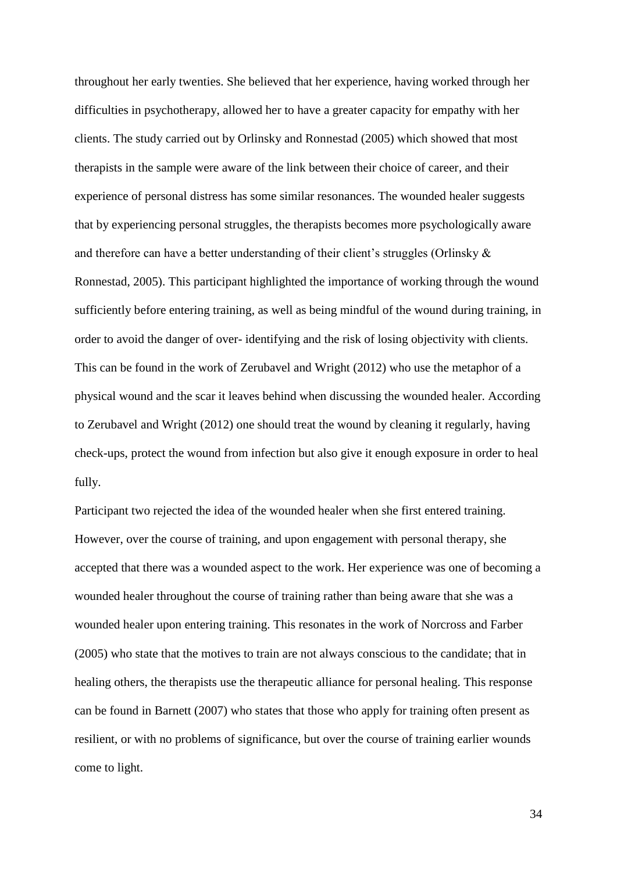throughout her early twenties. She believed that her experience, having worked through her difficulties in psychotherapy, allowed her to have a greater capacity for empathy with her clients. The study carried out by Orlinsky and Ronnestad (2005) which showed that most therapists in the sample were aware of the link between their choice of career, and their experience of personal distress has some similar resonances. The wounded healer suggests that by experiencing personal struggles, the therapists becomes more psychologically aware and therefore can have a better understanding of their client's struggles (Orlinsky & Ronnestad, 2005). This participant highlighted the importance of working through the wound sufficiently before entering training, as well as being mindful of the wound during training, in order to avoid the danger of over- identifying and the risk of losing objectivity with clients. This can be found in the work of Zerubavel and Wright (2012) who use the metaphor of a physical wound and the scar it leaves behind when discussing the wounded healer. According to Zerubavel and Wright (2012) one should treat the wound by cleaning it regularly, having check-ups, protect the wound from infection but also give it enough exposure in order to heal fully.

Participant two rejected the idea of the wounded healer when she first entered training. However, over the course of training, and upon engagement with personal therapy, she accepted that there was a wounded aspect to the work. Her experience was one of becoming a wounded healer throughout the course of training rather than being aware that she was a wounded healer upon entering training. This resonates in the work of Norcross and Farber (2005) who state that the motives to train are not always conscious to the candidate; that in healing others, the therapists use the therapeutic alliance for personal healing. This response can be found in Barnett (2007) who states that those who apply for training often present as resilient, or with no problems of significance, but over the course of training earlier wounds come to light.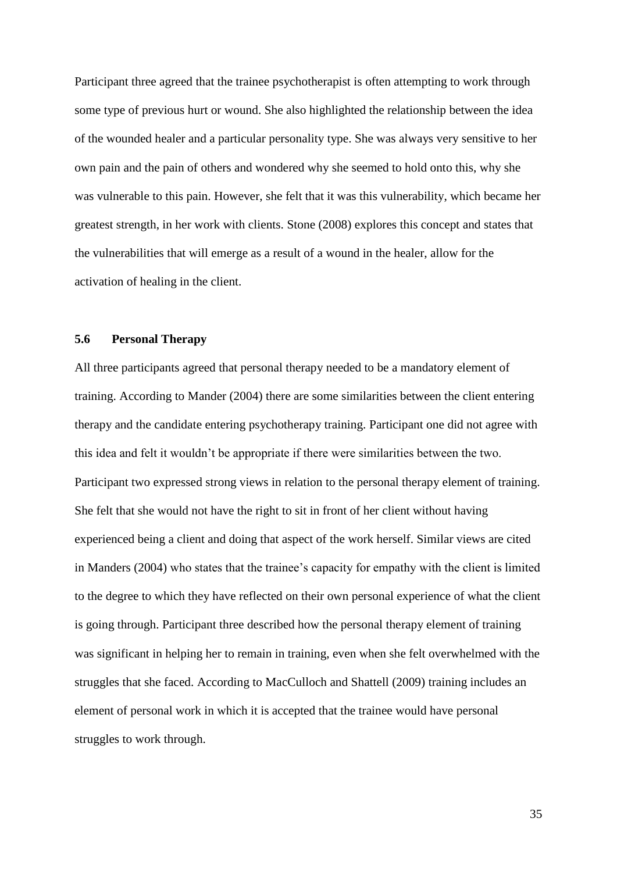Participant three agreed that the trainee psychotherapist is often attempting to work through some type of previous hurt or wound. She also highlighted the relationship between the idea of the wounded healer and a particular personality type. She was always very sensitive to her own pain and the pain of others and wondered why she seemed to hold onto this, why she was vulnerable to this pain. However, she felt that it was this vulnerability, which became her greatest strength, in her work with clients. Stone (2008) explores this concept and states that the vulnerabilities that will emerge as a result of a wound in the healer, allow for the activation of healing in the client.

# **5.6 Personal Therapy**

All three participants agreed that personal therapy needed to be a mandatory element of training. According to Mander (2004) there are some similarities between the client entering therapy and the candidate entering psychotherapy training. Participant one did not agree with this idea and felt it wouldn't be appropriate if there were similarities between the two. Participant two expressed strong views in relation to the personal therapy element of training. She felt that she would not have the right to sit in front of her client without having experienced being a client and doing that aspect of the work herself. Similar views are cited in Manders (2004) who states that the trainee's capacity for empathy with the client is limited to the degree to which they have reflected on their own personal experience of what the client is going through. Participant three described how the personal therapy element of training was significant in helping her to remain in training, even when she felt overwhelmed with the struggles that she faced. According to MacCulloch and Shattell (2009) training includes an element of personal work in which it is accepted that the trainee would have personal struggles to work through.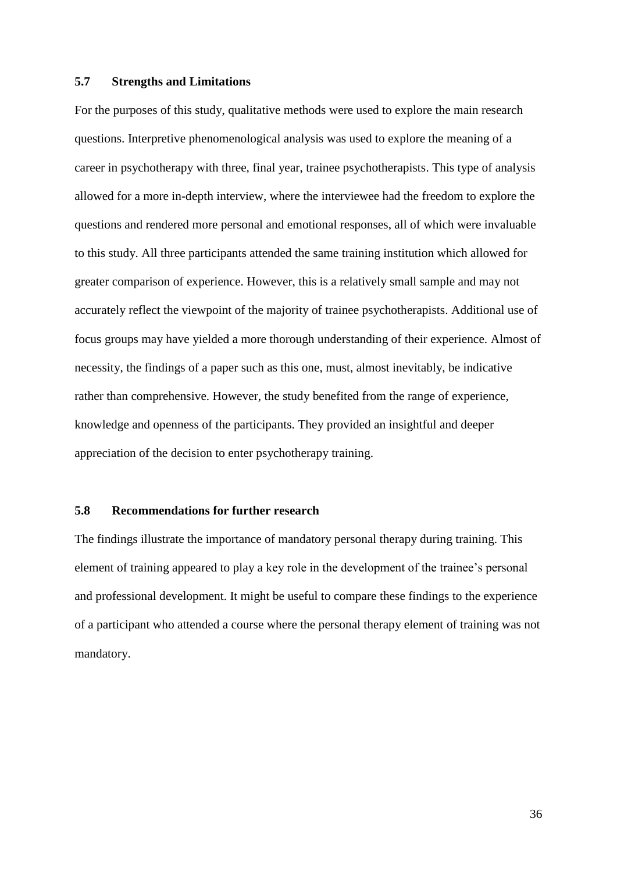#### **5.7 Strengths and Limitations**

For the purposes of this study, qualitative methods were used to explore the main research questions. Interpretive phenomenological analysis was used to explore the meaning of a career in psychotherapy with three, final year, trainee psychotherapists. This type of analysis allowed for a more in-depth interview, where the interviewee had the freedom to explore the questions and rendered more personal and emotional responses, all of which were invaluable to this study. All three participants attended the same training institution which allowed for greater comparison of experience. However, this is a relatively small sample and may not accurately reflect the viewpoint of the majority of trainee psychotherapists. Additional use of focus groups may have yielded a more thorough understanding of their experience. Almost of necessity, the findings of a paper such as this one, must, almost inevitably, be indicative rather than comprehensive. However, the study benefited from the range of experience, knowledge and openness of the participants. They provided an insightful and deeper appreciation of the decision to enter psychotherapy training.

# **5.8 Recommendations for further research**

The findings illustrate the importance of mandatory personal therapy during training. This element of training appeared to play a key role in the development of the trainee's personal and professional development. It might be useful to compare these findings to the experience of a participant who attended a course where the personal therapy element of training was not mandatory.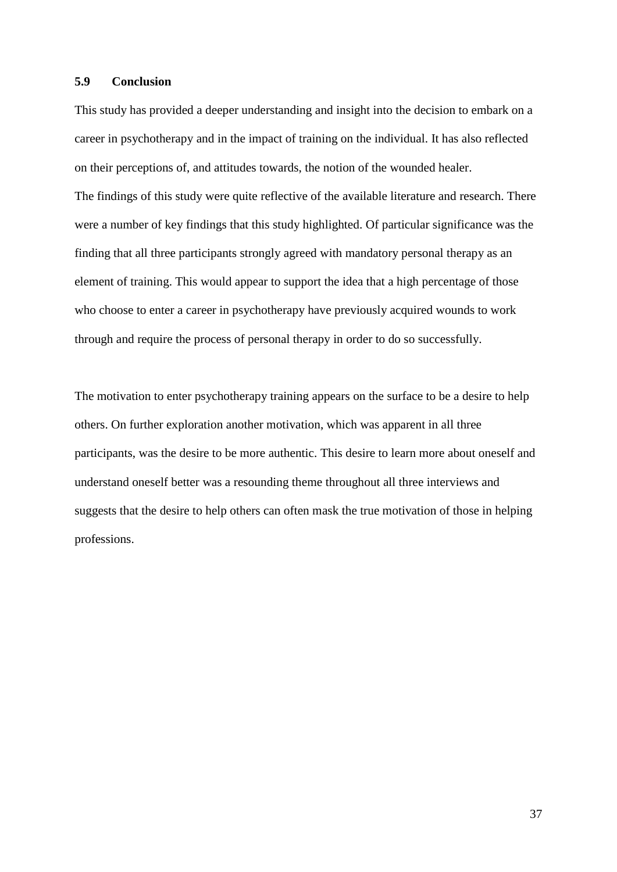## **5.9 Conclusion**

This study has provided a deeper understanding and insight into the decision to embark on a career in psychotherapy and in the impact of training on the individual. It has also reflected on their perceptions of, and attitudes towards, the notion of the wounded healer. The findings of this study were quite reflective of the available literature and research. There were a number of key findings that this study highlighted. Of particular significance was the finding that all three participants strongly agreed with mandatory personal therapy as an element of training. This would appear to support the idea that a high percentage of those who choose to enter a career in psychotherapy have previously acquired wounds to work through and require the process of personal therapy in order to do so successfully.

The motivation to enter psychotherapy training appears on the surface to be a desire to help others. On further exploration another motivation, which was apparent in all three participants, was the desire to be more authentic. This desire to learn more about oneself and understand oneself better was a resounding theme throughout all three interviews and suggests that the desire to help others can often mask the true motivation of those in helping professions.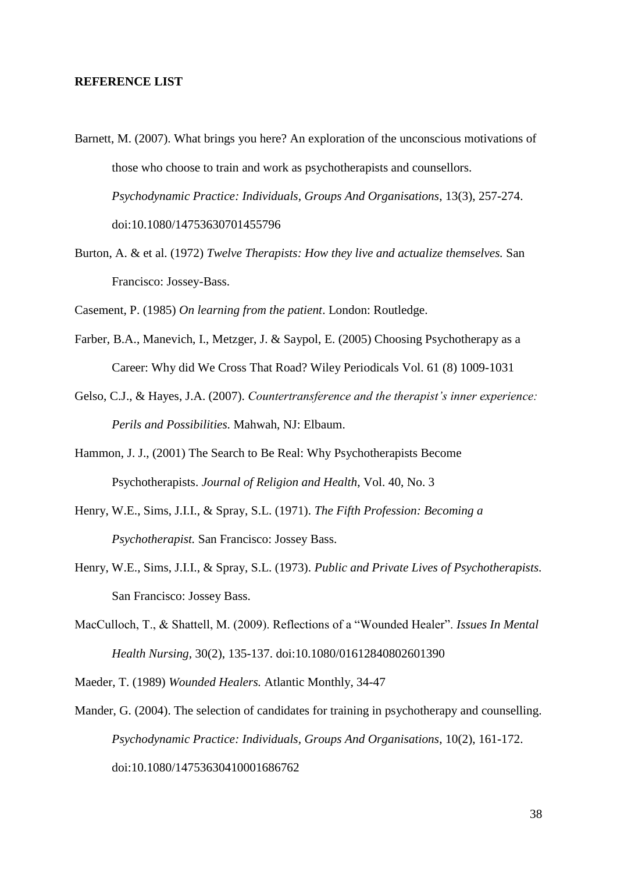### **REFERENCE LIST**

- Barnett, M. (2007). What brings you here? An exploration of the unconscious motivations of those who choose to train and work as psychotherapists and counsellors. *Psychodynamic Practice: Individuals, Groups And Organisations*, 13(3), 257-274. doi:10.1080/14753630701455796
- Burton, A. & et al. (1972) *Twelve Therapists: How they live and actualize themselves.* San Francisco: Jossey-Bass.

Casement, P. (1985) *On learning from the patient*. London: Routledge.

- Farber, B.A., Manevich, I., Metzger, J. & Saypol, E. (2005) Choosing Psychotherapy as a Career: Why did We Cross That Road? Wiley Periodicals Vol. 61 (8) 1009-1031
- Gelso, C.J., & Hayes, J.A. (2007). *Countertransference and the therapist's inner experience: Perils and Possibilities.* Mahwah, NJ: Elbaum.
- Hammon, J. J., (2001) The Search to Be Real: Why Psychotherapists Become Psychotherapists. *Journal of Religion and Health*, Vol. 40, No. 3
- Henry, W.E., Sims, J.I.I., & Spray, S.L. (1971). *The Fifth Profession: Becoming a Psychotherapist.* San Francisco: Jossey Bass.
- Henry, W.E., Sims, J.I.I., & Spray, S.L. (1973). *Public and Private Lives of Psychotherapists.* San Francisco: Jossey Bass.
- MacCulloch, T., & Shattell, M. (2009). Reflections of a "Wounded Healer". *Issues In Mental Health Nursing,* 30(2), 135-137. doi:10.1080/01612840802601390

Maeder, T. (1989) *Wounded Healers.* Atlantic Monthly, 34-47

Mander, G. (2004). The selection of candidates for training in psychotherapy and counselling. *Psychodynamic Practice: Individuals, Groups And Organisations*, 10(2), 161-172. doi:10.1080/14753630410001686762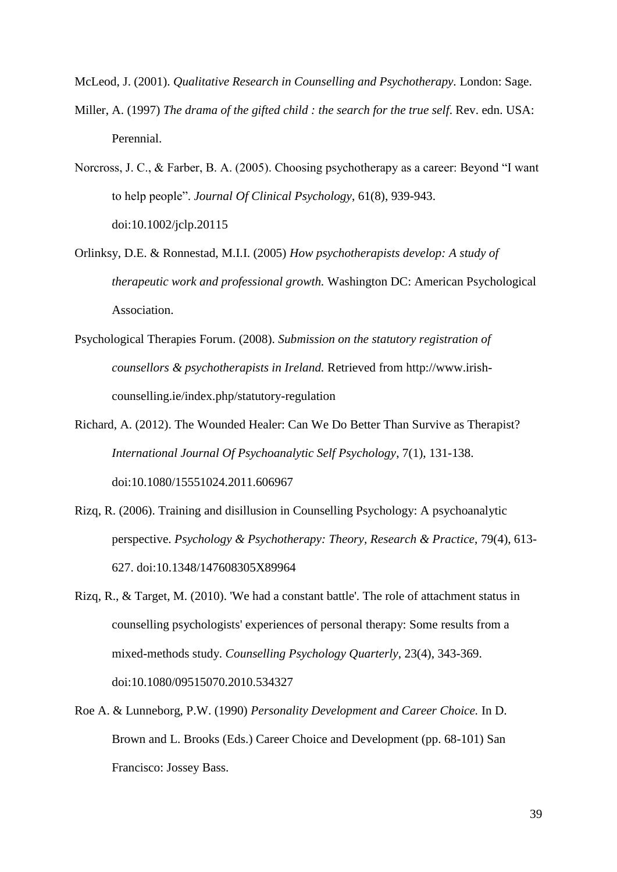McLeod, J. (2001). *Qualitative Research in Counselling and Psychotherapy.* London: Sage.

- Miller, A. (1997) *The drama of the gifted child : the search for the true self*. Rev. edn. USA: Perennial.
- Norcross, J. C., & Farber, B. A. (2005). Choosing psychotherapy as a career: Beyond "I want to help people". *Journal Of Clinical Psychology*, 61(8), 939-943. doi:10.1002/jclp.20115
- Orlinksy, D.E. & Ronnestad, M.I.I. (2005) *How psychotherapists develop: A study of therapeutic work and professional growth.* Washington DC: American Psychological Association.
- Psychological Therapies Forum. (2008). *Submission on the statutory registration of counsellors & psychotherapists in Ireland.* Retrieved from http://www.irishcounselling.ie/index.php/statutory-regulation
- Richard, A. (2012). The Wounded Healer: Can We Do Better Than Survive as Therapist? *International Journal Of Psychoanalytic Self Psychology*, 7(1), 131-138. doi:10.1080/15551024.2011.606967
- Rizq, R. (2006). Training and disillusion in Counselling Psychology: A psychoanalytic perspective. *Psychology & Psychotherapy: Theory, Research & Practice*, 79(4), 613- 627. doi:10.1348/147608305X89964
- Rizq, R., & Target, M. (2010). 'We had a constant battle'. The role of attachment status in counselling psychologists' experiences of personal therapy: Some results from a mixed-methods study. *Counselling Psychology Quarterly*, 23(4), 343-369. doi:10.1080/09515070.2010.534327
- Roe A. & Lunneborg, P.W. (1990) *Personality Development and Career Choice.* In D. Brown and L. Brooks (Eds.) Career Choice and Development (pp. 68-101) San Francisco: Jossey Bass.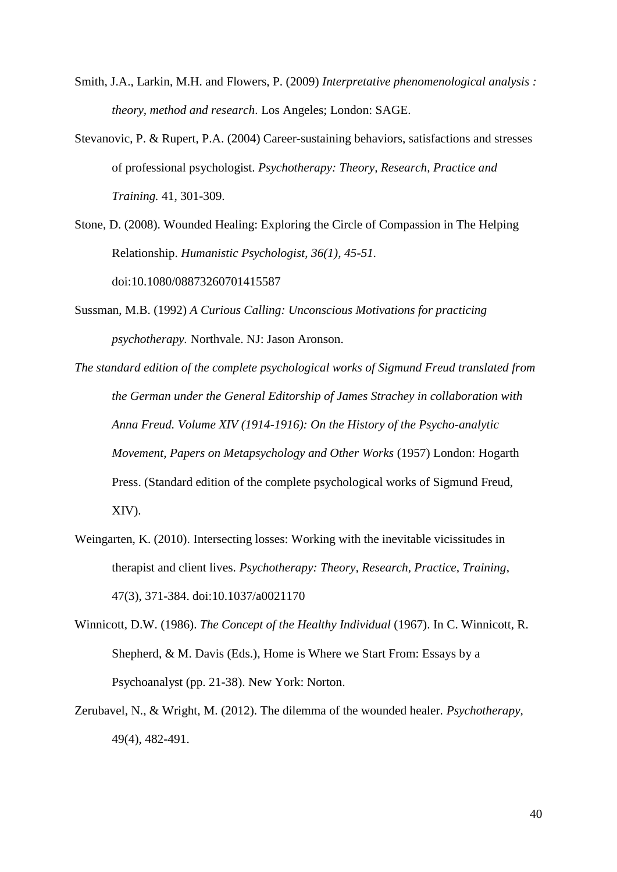- Smith, J.A., Larkin, M.H. and Flowers, P. (2009) *Interpretative phenomenological analysis : theory, method and research*. Los Angeles; London: SAGE.
- Stevanovic, P. & Rupert, P.A. (2004) Career-sustaining behaviors, satisfactions and stresses of professional psychologist. *Psychotherapy: Theory, Research, Practice and Training.* 41, 301-309.

Stone, D. (2008). Wounded Healing: Exploring the Circle of Compassion in The Helping Relationship. *Humanistic Psychologist, 36(1), 45-51.* doi:10.1080/08873260701415587

- Sussman, M.B. (1992) *A Curious Calling: Unconscious Motivations for practicing psychotherapy.* Northvale. NJ: Jason Aronson.
- *The standard edition of the complete psychological works of Sigmund Freud translated from the German under the General Editorship of James Strachey in collaboration with Anna Freud. Volume XIV (1914-1916): On the History of the Psycho-analytic Movement, Papers on Metapsychology and Other Works* (1957) London: Hogarth Press. (Standard edition of the complete psychological works of Sigmund Freud, XIV).
- Weingarten, K. (2010). Intersecting losses: Working with the inevitable vicissitudes in therapist and client lives. *Psychotherapy: Theory, Research, Practice, Training*, 47(3), 371-384. doi:10.1037/a0021170
- Winnicott, D.W. (1986). *The Concept of the Healthy Individual* (1967). In C. Winnicott, R. Shepherd, & M. Davis (Eds.), Home is Where we Start From: Essays by a Psychoanalyst (pp. 21-38). New York: Norton.
- Zerubavel, N., & Wright, M. (2012). The dilemma of the wounded healer. *Psychotherapy,* 49(4), 482-491.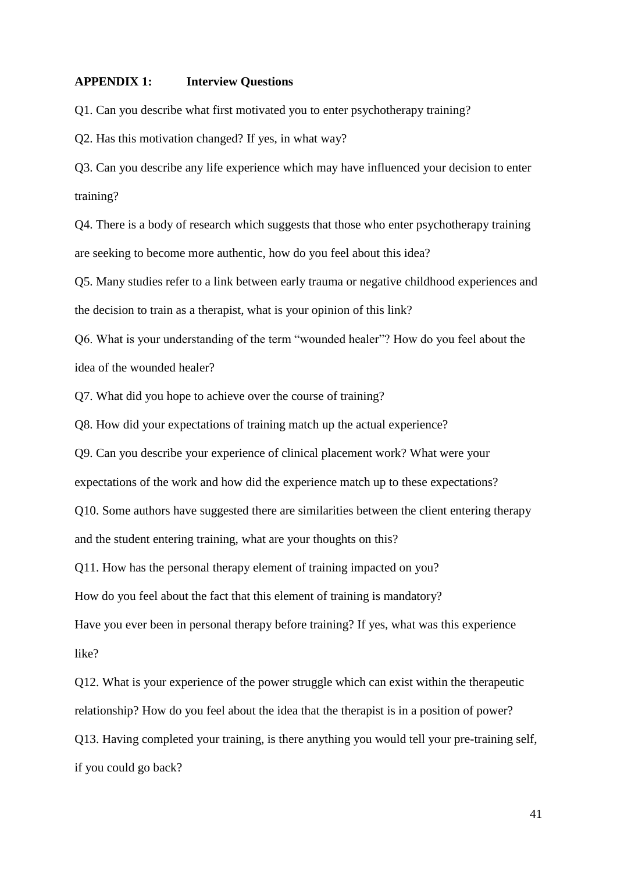#### **APPENDIX 1: Interview Questions**

Q1. Can you describe what first motivated you to enter psychotherapy training?

Q2. Has this motivation changed? If yes, in what way?

Q3. Can you describe any life experience which may have influenced your decision to enter training?

Q4. There is a body of research which suggests that those who enter psychotherapy training are seeking to become more authentic, how do you feel about this idea?

Q5. Many studies refer to a link between early trauma or negative childhood experiences and the decision to train as a therapist, what is your opinion of this link?

Q6. What is your understanding of the term "wounded healer"? How do you feel about the idea of the wounded healer?

Q7. What did you hope to achieve over the course of training?

Q8. How did your expectations of training match up the actual experience?

Q9. Can you describe your experience of clinical placement work? What were your

expectations of the work and how did the experience match up to these expectations?

Q10. Some authors have suggested there are similarities between the client entering therapy

and the student entering training, what are your thoughts on this?

Q11. How has the personal therapy element of training impacted on you?

How do you feel about the fact that this element of training is mandatory?

Have you ever been in personal therapy before training? If yes, what was this experience like?

Q12. What is your experience of the power struggle which can exist within the therapeutic relationship? How do you feel about the idea that the therapist is in a position of power? Q13. Having completed your training, is there anything you would tell your pre-training self, if you could go back?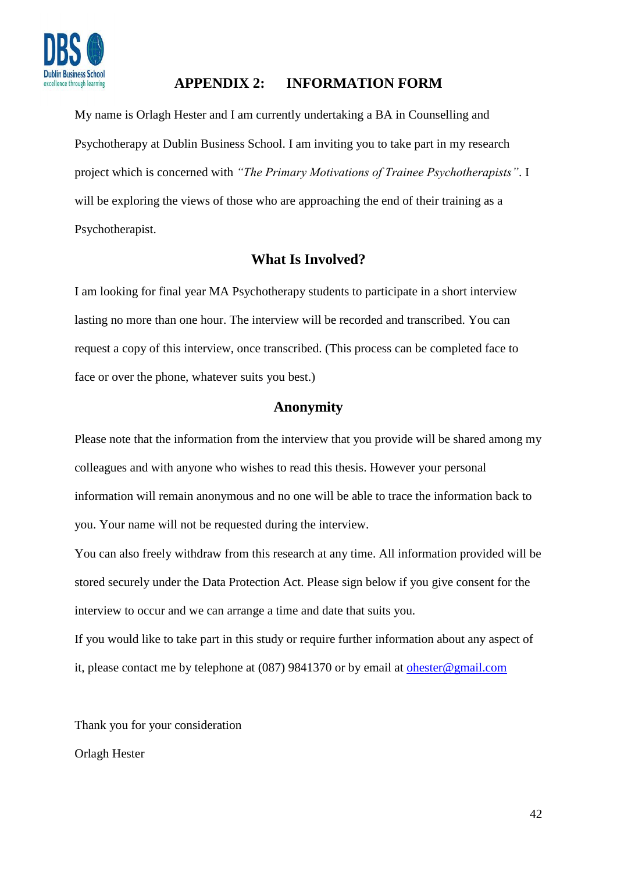

# **APPENDIX 2: INFORMATION FORM**

My name is Orlagh Hester and I am currently undertaking a BA in Counselling and Psychotherapy at Dublin Business School. I am inviting you to take part in my research project which is concerned with *"The Primary Motivations of Trainee Psychotherapists"*. I will be exploring the views of those who are approaching the end of their training as a Psychotherapist.

# **What Is Involved?**

I am looking for final year MA Psychotherapy students to participate in a short interview lasting no more than one hour. The interview will be recorded and transcribed. You can request a copy of this interview, once transcribed. (This process can be completed face to face or over the phone, whatever suits you best.)

# **Anonymity**

Please note that the information from the interview that you provide will be shared among my colleagues and with anyone who wishes to read this thesis. However your personal information will remain anonymous and no one will be able to trace the information back to you. Your name will not be requested during the interview.

You can also freely withdraw from this research at any time. All information provided will be stored securely under the Data Protection Act. Please sign below if you give consent for the interview to occur and we can arrange a time and date that suits you.

If you would like to take part in this study or require further information about any aspect of it, please contact me by telephone at (087) 9841370 or by email at [ohester@gmail.com](mailto:ohester@gmail.com)

Thank you for your consideration

Orlagh Hester